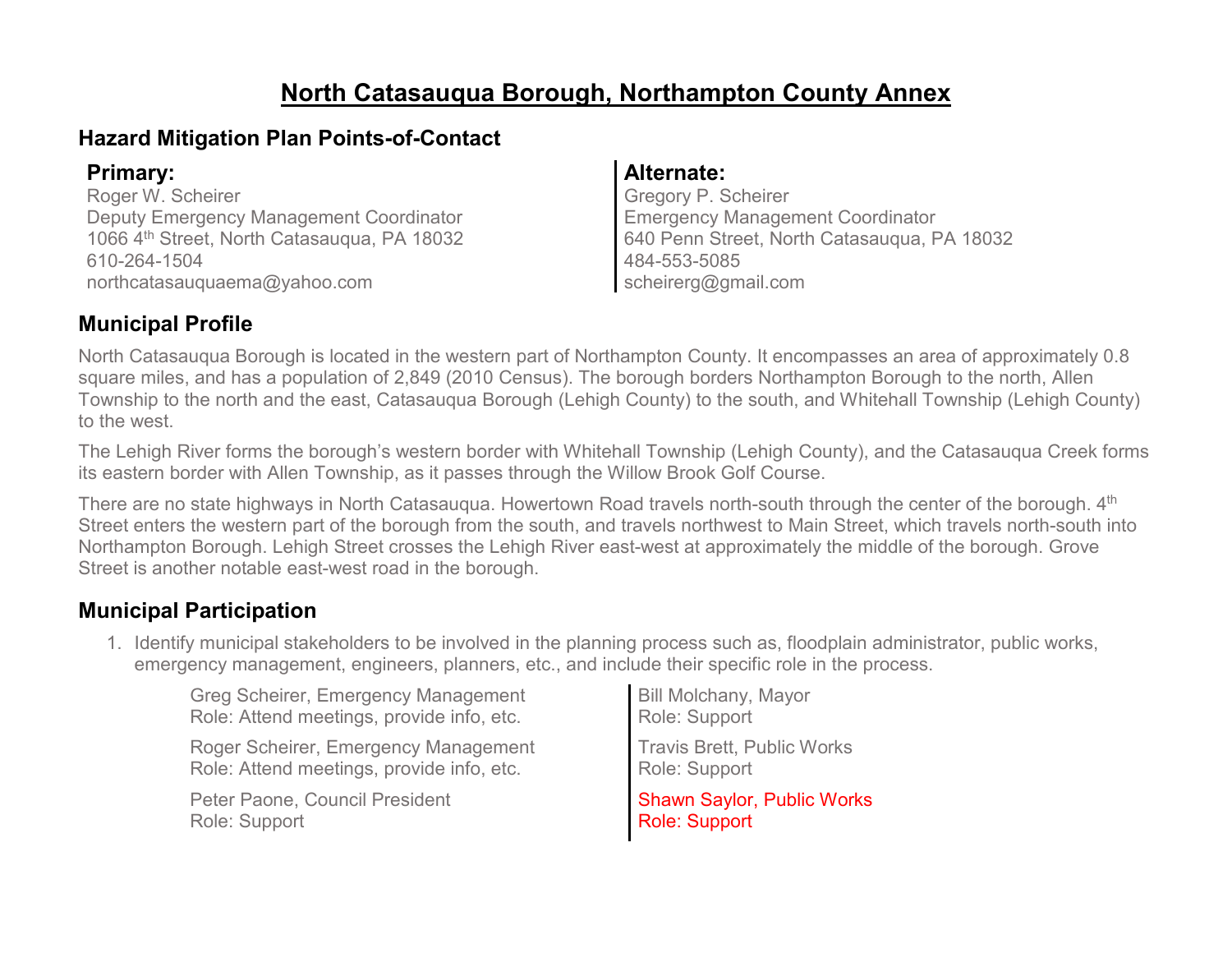# **North Catasauqua Borough, Northampton County Annex**

### **Hazard Mitigation Plan Points-of-Contact**

Roger W. Scheirer Deputy Emergency Management Coordinator 1066 4th Street, North Catasauqua, PA 18032 610-264-1504 northcatasauquaema@yahoo.com

#### **Primary: Alternate:**

Gregory P. Scheirer Emergency Management Coordinator 640 Penn Street, North Catasauqua, PA 18032 484-553-5085 scheirerg@gmail.com

### **Municipal Profile**

North Catasauqua Borough is located in the western part of Northampton County. It encompasses an area of approximately 0.8 square miles, and has a population of 2,849 (2010 Census). The borough borders Northampton Borough to the north, Allen Township to the north and the east, Catasauqua Borough (Lehigh County) to the south, and Whitehall Township (Lehigh County) to the west.

The Lehigh River forms the borough's western border with Whitehall Township (Lehigh County), and the Catasauqua Creek forms its eastern border with Allen Township, as it passes through the Willow Brook Golf Course.

There are no state highways in North Catasaugua. Howertown Road travels north-south through the center of the borough. 4<sup>th</sup> Street enters the western part of the borough from the south, and travels northwest to Main Street, which travels north-south into Northampton Borough. Lehigh Street crosses the Lehigh River east-west at approximately the middle of the borough. Grove Street is another notable east-west road in the borough.

### **Municipal Participation**

1. Identify municipal stakeholders to be involved in the planning process such as, floodplain administrator, public works, emergency management, engineers, planners, etc., and include their specific role in the process.

| <b>Greg Scheirer, Emergency Management</b> | <b>Bill Molchany, Mayor</b>       |
|--------------------------------------------|-----------------------------------|
| Role: Attend meetings, provide info, etc.  | Role: Support                     |
| Roger Scheirer, Emergency Management       | <b>Travis Brett, Public Works</b> |
| Role: Attend meetings, provide info, etc.  | Role: Support                     |
| Peter Paone, Council President             | Shawn Saylor, Public Works        |
| Role: Support                              | <b>Role: Support</b>              |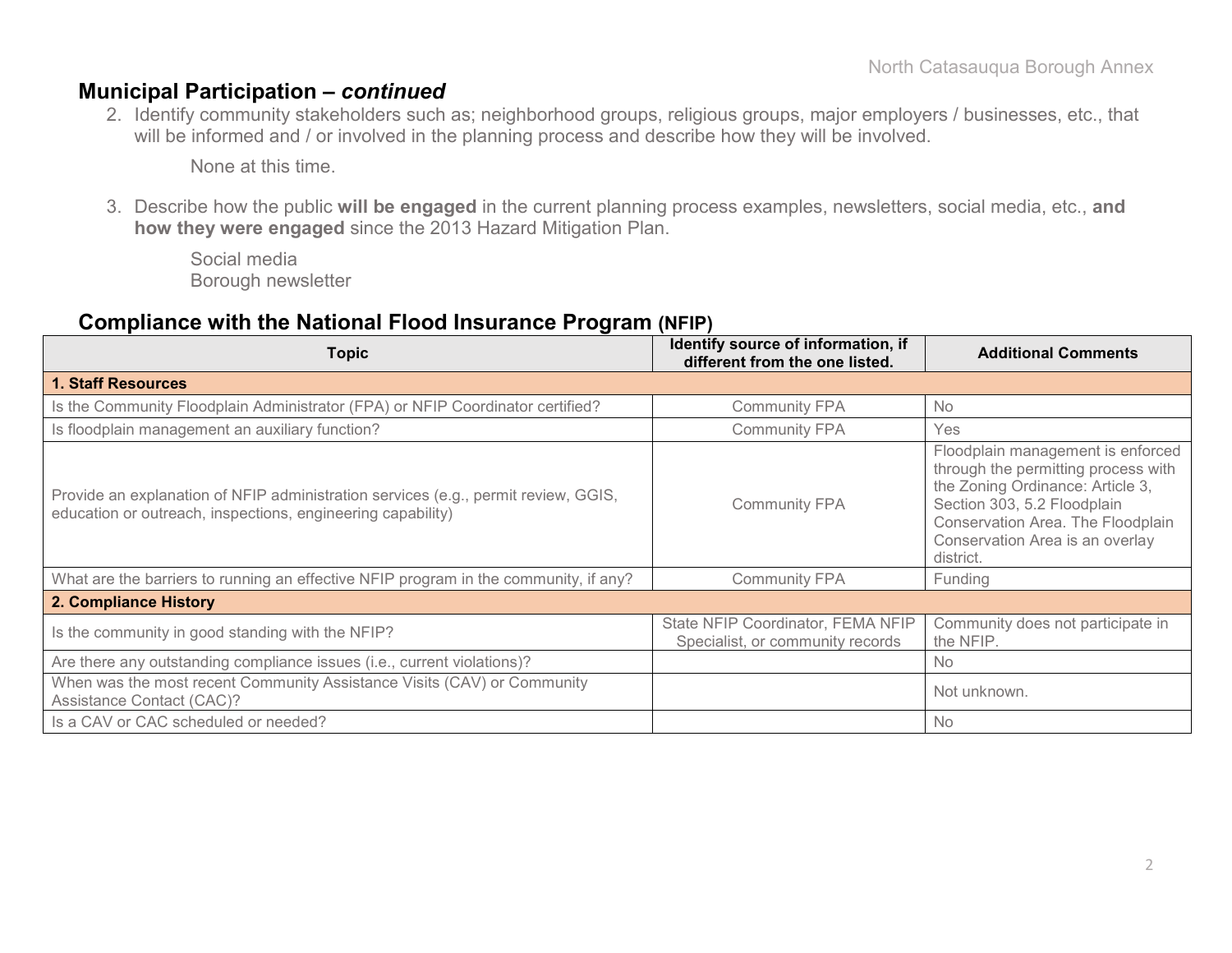### **Municipal Participation –** *continued*

2. Identify community stakeholders such as; neighborhood groups, religious groups, major employers / businesses, etc., that will be informed and / or involved in the planning process and describe how they will be involved.

None at this time.

3. Describe how the public **will be engaged** in the current planning process examples, newsletters, social media, etc., **and how they were engaged** since the 2013 Hazard Mitigation Plan.

Social media Borough newsletter

### **Compliance with the National Flood Insurance Program (NFIP)**

| <b>Topic</b>                                                                                                                                      | Identify source of information, if<br>different from the one listed.  | <b>Additional Comments</b>                                                                                                                                                                                                       |
|---------------------------------------------------------------------------------------------------------------------------------------------------|-----------------------------------------------------------------------|----------------------------------------------------------------------------------------------------------------------------------------------------------------------------------------------------------------------------------|
| <b>1. Staff Resources</b>                                                                                                                         |                                                                       |                                                                                                                                                                                                                                  |
| Is the Community Floodplain Administrator (FPA) or NFIP Coordinator certified?                                                                    | <b>Community FPA</b>                                                  | <b>No</b>                                                                                                                                                                                                                        |
| Is floodplain management an auxiliary function?                                                                                                   | <b>Community FPA</b>                                                  | Yes                                                                                                                                                                                                                              |
| Provide an explanation of NFIP administration services (e.g., permit review, GGIS,<br>education or outreach, inspections, engineering capability) | <b>Community FPA</b>                                                  | Floodplain management is enforced<br>through the permitting process with<br>the Zoning Ordinance: Article 3,<br>Section 303, 5.2 Floodplain<br>Conservation Area. The Floodplain<br>Conservation Area is an overlay<br>district. |
| What are the barriers to running an effective NFIP program in the community, if any?                                                              | <b>Community FPA</b>                                                  | Funding                                                                                                                                                                                                                          |
| 2. Compliance History                                                                                                                             |                                                                       |                                                                                                                                                                                                                                  |
| Is the community in good standing with the NFIP?                                                                                                  | State NFIP Coordinator, FEMA NFIP<br>Specialist, or community records | Community does not participate in<br>the NFIP.                                                                                                                                                                                   |
| Are there any outstanding compliance issues (i.e., current violations)?                                                                           |                                                                       | <b>No</b>                                                                                                                                                                                                                        |
| When was the most recent Community Assistance Visits (CAV) or Community<br><b>Assistance Contact (CAC)?</b>                                       |                                                                       | Not unknown.                                                                                                                                                                                                                     |
| Is a CAV or CAC scheduled or needed?                                                                                                              |                                                                       | No                                                                                                                                                                                                                               |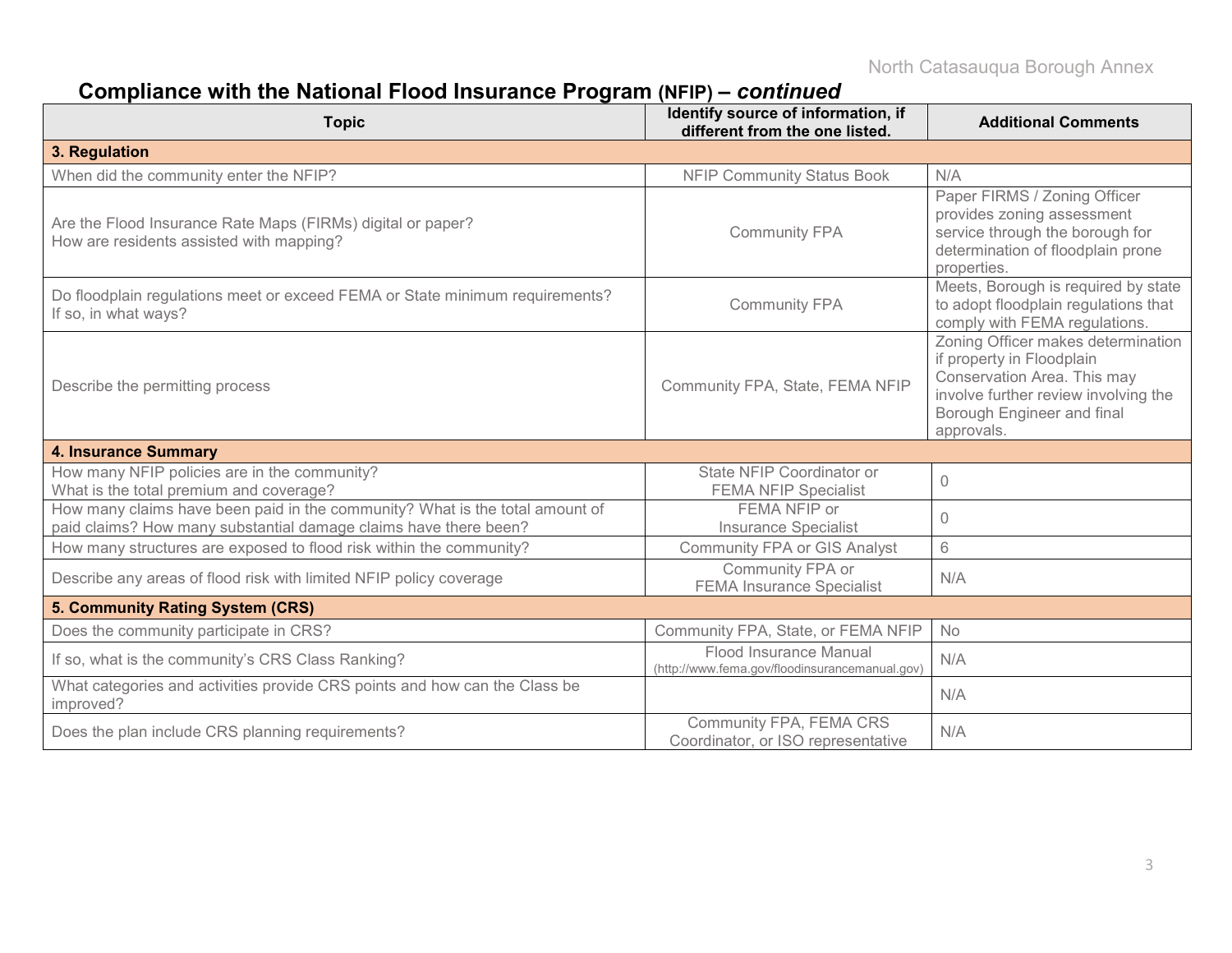# **Compliance with the National Flood Insurance Program (NFIP) –** *continued*

| <b>Topic</b>                                                                                                                                     | Identify source of information, if<br>different from the one listed.     | <b>Additional Comments</b>                                                                                                                                                         |
|--------------------------------------------------------------------------------------------------------------------------------------------------|--------------------------------------------------------------------------|------------------------------------------------------------------------------------------------------------------------------------------------------------------------------------|
| 3. Regulation                                                                                                                                    |                                                                          |                                                                                                                                                                                    |
| When did the community enter the NFIP?                                                                                                           | <b>NFIP Community Status Book</b>                                        | N/A                                                                                                                                                                                |
| Are the Flood Insurance Rate Maps (FIRMs) digital or paper?<br>How are residents assisted with mapping?                                          | <b>Community FPA</b>                                                     | Paper FIRMS / Zoning Officer<br>provides zoning assessment<br>service through the borough for<br>determination of floodplain prone<br>properties.                                  |
| Do floodplain regulations meet or exceed FEMA or State minimum requirements?<br>If so, in what ways?                                             | <b>Community FPA</b>                                                     | Meets, Borough is required by state<br>to adopt floodplain regulations that<br>comply with FEMA regulations.                                                                       |
| Describe the permitting process                                                                                                                  | Community FPA, State, FEMA NFIP                                          | Zoning Officer makes determination<br>if property in Floodplain<br>Conservation Area. This may<br>involve further review involving the<br>Borough Engineer and final<br>approvals. |
| <b>4. Insurance Summary</b>                                                                                                                      |                                                                          |                                                                                                                                                                                    |
| How many NFIP policies are in the community?<br>What is the total premium and coverage?                                                          | State NFIP Coordinator or<br><b>FEMA NFIP Specialist</b>                 | $\Omega$                                                                                                                                                                           |
| How many claims have been paid in the community? What is the total amount of<br>paid claims? How many substantial damage claims have there been? | FEMA NFIP or<br><b>Insurance Specialist</b>                              | 0                                                                                                                                                                                  |
| How many structures are exposed to flood risk within the community?                                                                              | <b>Community FPA or GIS Analyst</b>                                      | 6                                                                                                                                                                                  |
| Describe any areas of flood risk with limited NFIP policy coverage                                                                               | Community FPA or<br><b>FEMA Insurance Specialist</b>                     | N/A                                                                                                                                                                                |
| 5. Community Rating System (CRS)                                                                                                                 |                                                                          |                                                                                                                                                                                    |
| Does the community participate in CRS?                                                                                                           | Community FPA, State, or FEMA NFIP                                       | No                                                                                                                                                                                 |
| If so, what is the community's CRS Class Ranking?                                                                                                | Flood Insurance Manual<br>(http://www.fema.gov/floodinsurancemanual.gov) | N/A                                                                                                                                                                                |
| What categories and activities provide CRS points and how can the Class be<br>improved?                                                          |                                                                          | N/A                                                                                                                                                                                |
| Does the plan include CRS planning requirements?                                                                                                 | Community FPA, FEMA CRS<br>Coordinator, or ISO representative            | N/A                                                                                                                                                                                |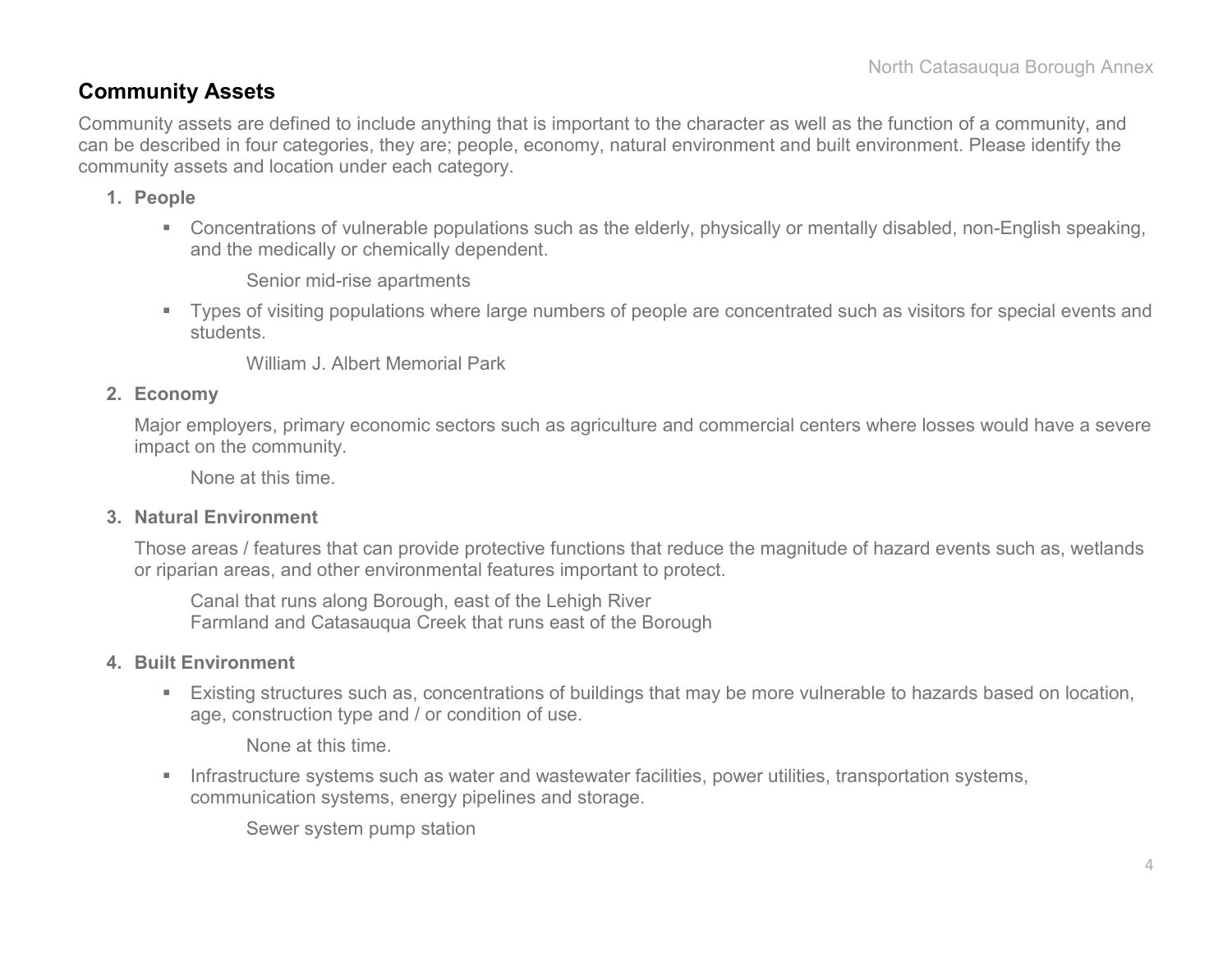### **Community Assets**

Community assets are defined to include anything that is important to the character as well as the function of a community, and can be described in four categories, they are; people, economy, natural environment and built environment. Please identify the community assets and location under each category.

#### **1. People**

 Concentrations of vulnerable populations such as the elderly, physically or mentally disabled, non-English speaking, and the medically or chemically dependent.

Senior mid-rise apartments

 Types of visiting populations where large numbers of people are concentrated such as visitors for special events and students.

William J. Albert Memorial Park

#### **2. Economy**

Major employers, primary economic sectors such as agriculture and commercial centers where losses would have a severe impact on the community.

None at this time.

#### **3. Natural Environment**

Those areas / features that can provide protective functions that reduce the magnitude of hazard events such as, wetlands or riparian areas, and other environmental features important to protect.

Canal that runs along Borough, east of the Lehigh River Farmland and Catasauqua Creek that runs east of the Borough

#### **4. Built Environment**

 Existing structures such as, concentrations of buildings that may be more vulnerable to hazards based on location, age, construction type and / or condition of use.

None at this time.

**Infrastructure systems such as water and wastewater facilities, power utilities, transportation systems,** communication systems, energy pipelines and storage.

Sewer system pump station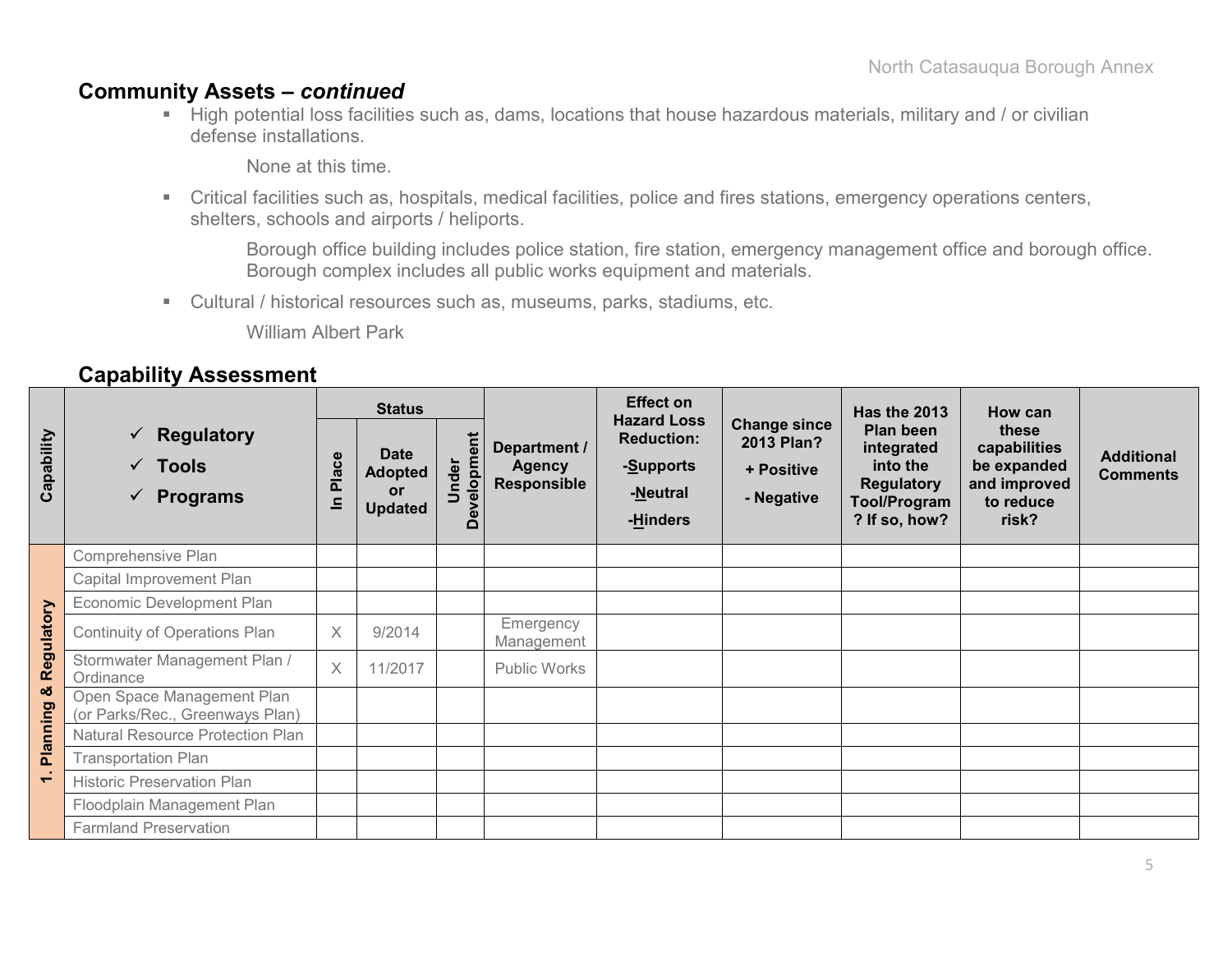### **Community Assets –** *continued*

 High potential loss facilities such as, dams, locations that house hazardous materials, military and / or civilian defense installations.

None at this time.

 Critical facilities such as, hospitals, medical facilities, police and fires stations, emergency operations centers, shelters, schools and airports / heliports.

Borough office building includes police station, fire station, emergency management office and borough office. Borough complex includes all public works equipment and materials.

Cultural / historical resources such as, museums, parks, stadiums, etc.

William Albert Park

### **Capability Assessment**

|               |                                                                        | <b>Status</b>     |                                                       |                      |                                                     | <b>Effect on</b>                                                             |                                                               | Has the 2013                                                                              | How can                                                                    |                                      |
|---------------|------------------------------------------------------------------------|-------------------|-------------------------------------------------------|----------------------|-----------------------------------------------------|------------------------------------------------------------------------------|---------------------------------------------------------------|-------------------------------------------------------------------------------------------|----------------------------------------------------------------------------|--------------------------------------|
| Capability    | $\checkmark$ Regulatory<br>$\checkmark$ Tools<br>$\checkmark$ Programs | Place<br>$\equiv$ | <b>Date</b><br><b>Adopted</b><br>or<br><b>Updated</b> | Development<br>Under | Department /<br><b>Agency</b><br><b>Responsible</b> | <b>Hazard Loss</b><br><b>Reduction:</b><br>-Supports<br>-Neutral<br>-Hinders | <b>Change since</b><br>2013 Plan?<br>+ Positive<br>- Negative | Plan been<br>integrated<br>into the<br><b>Regulatory</b><br>Tool/Program<br>? If so, how? | these<br>capabilities<br>be expanded<br>and improved<br>to reduce<br>risk? | <b>Additional</b><br><b>Comments</b> |
|               | Comprehensive Plan                                                     |                   |                                                       |                      |                                                     |                                                                              |                                                               |                                                                                           |                                                                            |                                      |
|               | Capital Improvement Plan                                               |                   |                                                       |                      |                                                     |                                                                              |                                                               |                                                                                           |                                                                            |                                      |
|               | Economic Development Plan                                              |                   |                                                       |                      |                                                     |                                                                              |                                                               |                                                                                           |                                                                            |                                      |
| Regulatory    | Continuity of Operations Plan                                          | $\times$          | 9/2014                                                |                      | Emergency<br>Management                             |                                                                              |                                                               |                                                                                           |                                                                            |                                      |
|               | Stormwater Management Plan /<br>Ordinance                              | $\times$          | 11/2017                                               |                      | Public Works                                        |                                                                              |                                                               |                                                                                           |                                                                            |                                      |
| ಯ<br>Planning | Open Space Management Plan<br>(or Parks/Rec., Greenways Plan)          |                   |                                                       |                      |                                                     |                                                                              |                                                               |                                                                                           |                                                                            |                                      |
|               | Natural Resource Protection Plan                                       |                   |                                                       |                      |                                                     |                                                                              |                                                               |                                                                                           |                                                                            |                                      |
|               | <b>Transportation Plan</b>                                             |                   |                                                       |                      |                                                     |                                                                              |                                                               |                                                                                           |                                                                            |                                      |
|               | <b>Historic Preservation Plan</b>                                      |                   |                                                       |                      |                                                     |                                                                              |                                                               |                                                                                           |                                                                            |                                      |
|               | Floodplain Management Plan                                             |                   |                                                       |                      |                                                     |                                                                              |                                                               |                                                                                           |                                                                            |                                      |
|               | <b>Farmland Preservation</b>                                           |                   |                                                       |                      |                                                     |                                                                              |                                                               |                                                                                           |                                                                            |                                      |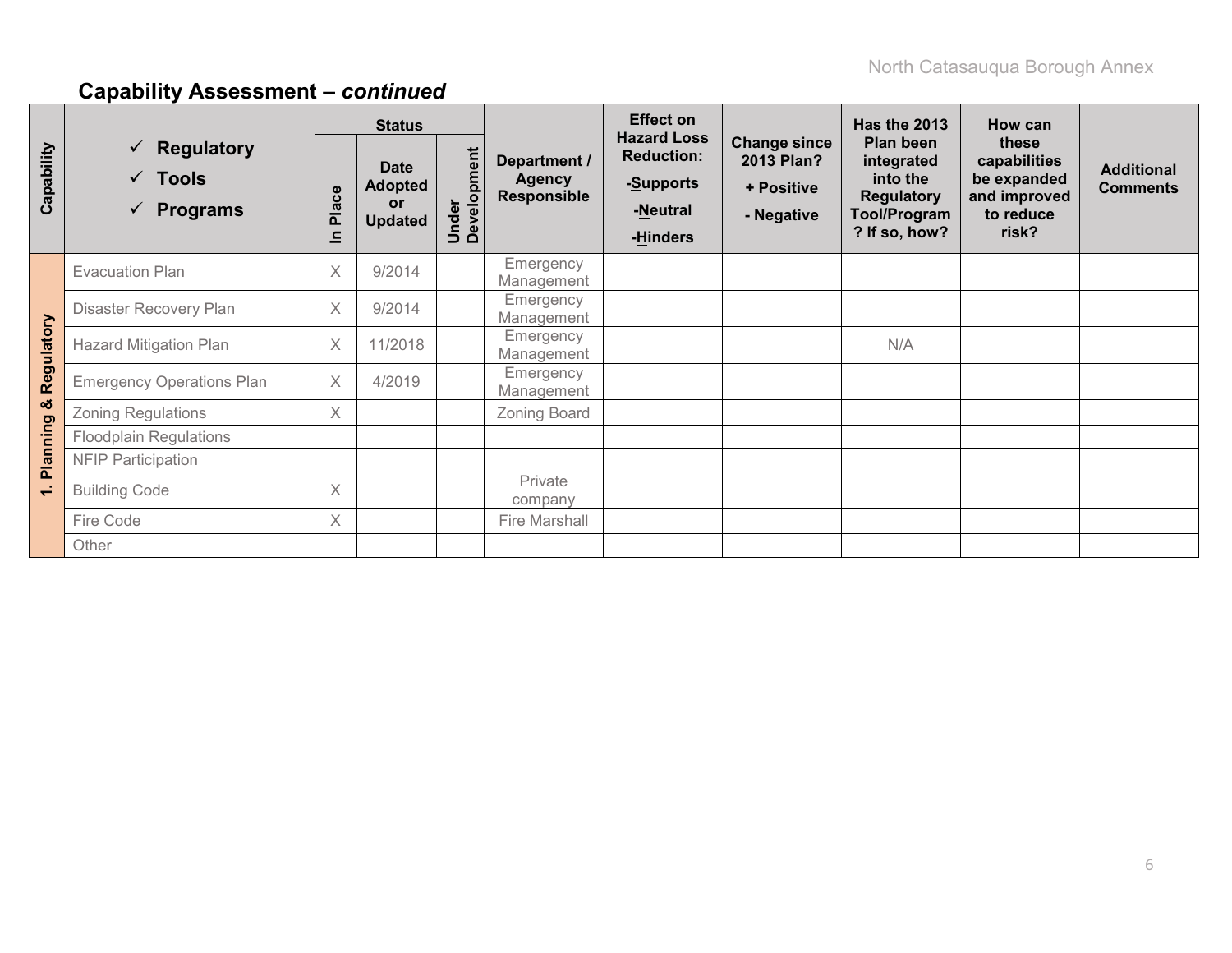|                 |                                                                        | <b>Status</b> |                                                              |                      |                                                     | <b>Effect on</b>                                                             |                                                               | <b>Has the 2013</b>                                                                       | How can                                                                    |                                      |
|-----------------|------------------------------------------------------------------------|---------------|--------------------------------------------------------------|----------------------|-----------------------------------------------------|------------------------------------------------------------------------------|---------------------------------------------------------------|-------------------------------------------------------------------------------------------|----------------------------------------------------------------------------|--------------------------------------|
| Capability      | $\checkmark$ Regulatory<br>$\checkmark$ Tools<br>$\checkmark$ Programs | Place<br>≘    | <b>Date</b><br><b>Adopted</b><br><b>or</b><br><b>Updated</b> | Under<br>Development | Department /<br><b>Agency</b><br><b>Responsible</b> | <b>Hazard Loss</b><br><b>Reduction:</b><br>-Supports<br>-Neutral<br>-Hinders | <b>Change since</b><br>2013 Plan?<br>+ Positive<br>- Negative | Plan been<br>integrated<br>into the<br><b>Regulatory</b><br>Tool/Program<br>? If so, how? | these<br>capabilities<br>be expanded<br>and improved<br>to reduce<br>risk? | <b>Additional</b><br><b>Comments</b> |
|                 | <b>Evacuation Plan</b>                                                 | $\chi$        | 9/2014                                                       |                      | Emergency<br>Management                             |                                                                              |                                                               |                                                                                           |                                                                            |                                      |
|                 | Disaster Recovery Plan                                                 | $\times$      | 9/2014                                                       |                      | Emergency<br>Management                             |                                                                              |                                                               |                                                                                           |                                                                            |                                      |
| Regulatory      | <b>Hazard Mitigation Plan</b>                                          | $\times$      | 11/2018                                                      |                      | Emergency<br>Management                             |                                                                              |                                                               | N/A                                                                                       |                                                                            |                                      |
|                 | <b>Emergency Operations Plan</b>                                       | $\times$      | 4/2019                                                       |                      | Emergency<br>Management                             |                                                                              |                                                               |                                                                                           |                                                                            |                                      |
| ಯ               | <b>Zoning Regulations</b>                                              | $\times$      |                                                              |                      | Zoning Board                                        |                                                                              |                                                               |                                                                                           |                                                                            |                                      |
| <b>Planning</b> | <b>Floodplain Regulations</b>                                          |               |                                                              |                      |                                                     |                                                                              |                                                               |                                                                                           |                                                                            |                                      |
|                 | <b>NFIP Participation</b>                                              |               |                                                              |                      |                                                     |                                                                              |                                                               |                                                                                           |                                                                            |                                      |
| €               | <b>Building Code</b>                                                   | $\chi$        |                                                              |                      | Private<br>company                                  |                                                                              |                                                               |                                                                                           |                                                                            |                                      |
|                 | Fire Code                                                              | $\times$      |                                                              |                      | Fire Marshall                                       |                                                                              |                                                               |                                                                                           |                                                                            |                                      |
|                 | Other                                                                  |               |                                                              |                      |                                                     |                                                                              |                                                               |                                                                                           |                                                                            |                                      |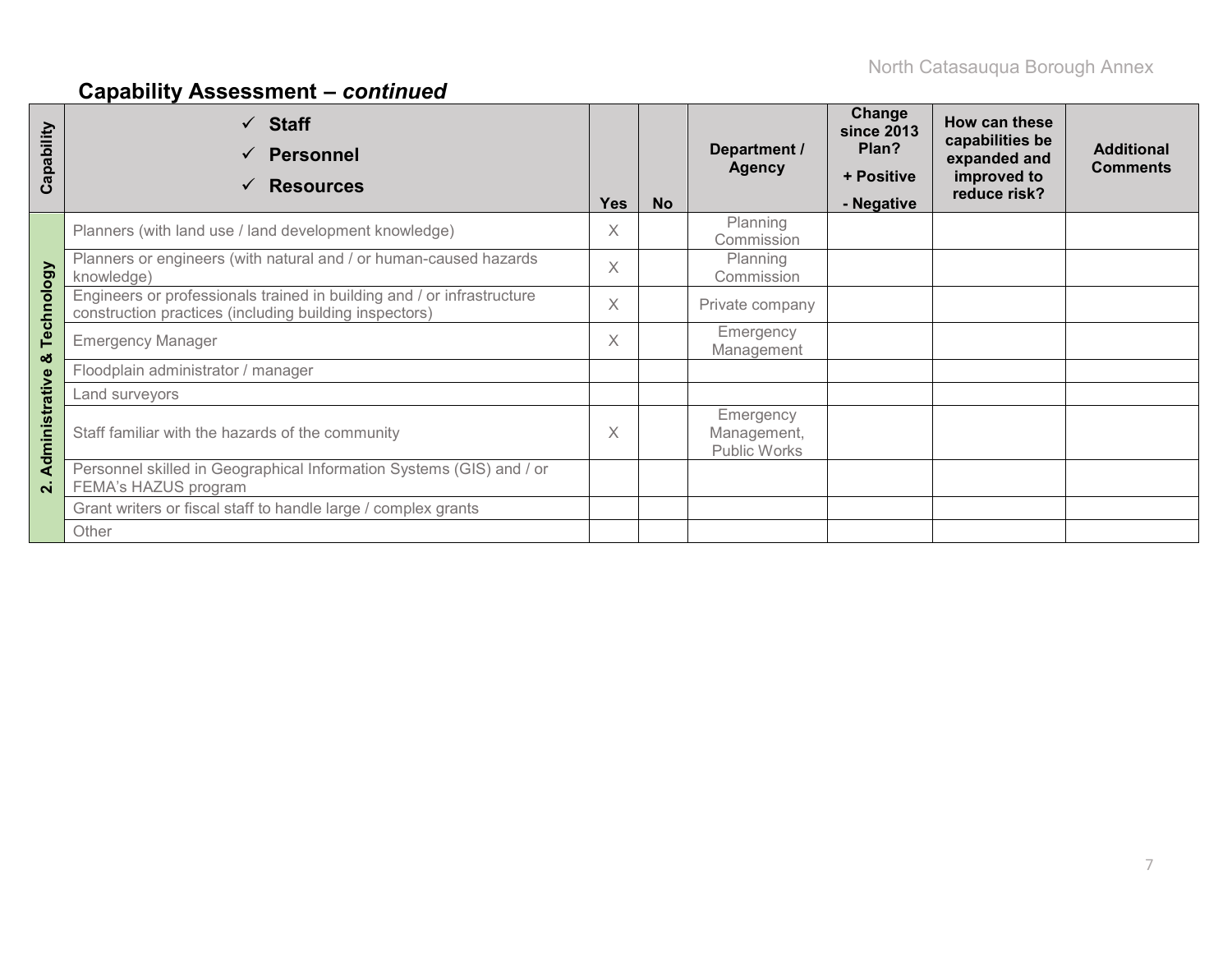| Capability         | $\checkmark$ Staff<br><b>Personnel</b><br><b>Resources</b><br>$\checkmark$                                                       | <b>Yes</b> | <b>No</b> | Department /<br><b>Agency</b>            | Change<br>since 2013<br>Plan?<br>+ Positive<br>- Negative | How can these<br>capabilities be<br>expanded and<br>improved to<br>reduce risk? | <b>Additional</b><br><b>Comments</b> |
|--------------------|----------------------------------------------------------------------------------------------------------------------------------|------------|-----------|------------------------------------------|-----------------------------------------------------------|---------------------------------------------------------------------------------|--------------------------------------|
|                    | Planners (with land use / land development knowledge)                                                                            | X          |           | Planning<br>Commission                   |                                                           |                                                                                 |                                      |
|                    | Planners or engineers (with natural and / or human-caused hazards<br>knowledge)                                                  | $\times$   |           | Planning<br>Commission                   |                                                           |                                                                                 |                                      |
| Technology         | Engineers or professionals trained in building and / or infrastructure<br>construction practices (including building inspectors) | X          |           | Private company                          |                                                           |                                                                                 |                                      |
| ಯ                  | <b>Emergency Manager</b>                                                                                                         | $\times$   |           | Emergency<br>Management                  |                                                           |                                                                                 |                                      |
|                    | Floodplain administrator / manager                                                                                               |            |           |                                          |                                                           |                                                                                 |                                      |
|                    | Land surveyors                                                                                                                   |            |           |                                          |                                                           |                                                                                 |                                      |
| Administrative     | Staff familiar with the hazards of the community                                                                                 | $\times$   |           | Emergency<br>Management,<br>Public Works |                                                           |                                                                                 |                                      |
| $\dot{\mathbf{v}}$ | Personnel skilled in Geographical Information Systems (GIS) and / or<br>FEMA's HAZUS program                                     |            |           |                                          |                                                           |                                                                                 |                                      |
|                    | Grant writers or fiscal staff to handle large / complex grants                                                                   |            |           |                                          |                                                           |                                                                                 |                                      |
|                    | Other                                                                                                                            |            |           |                                          |                                                           |                                                                                 |                                      |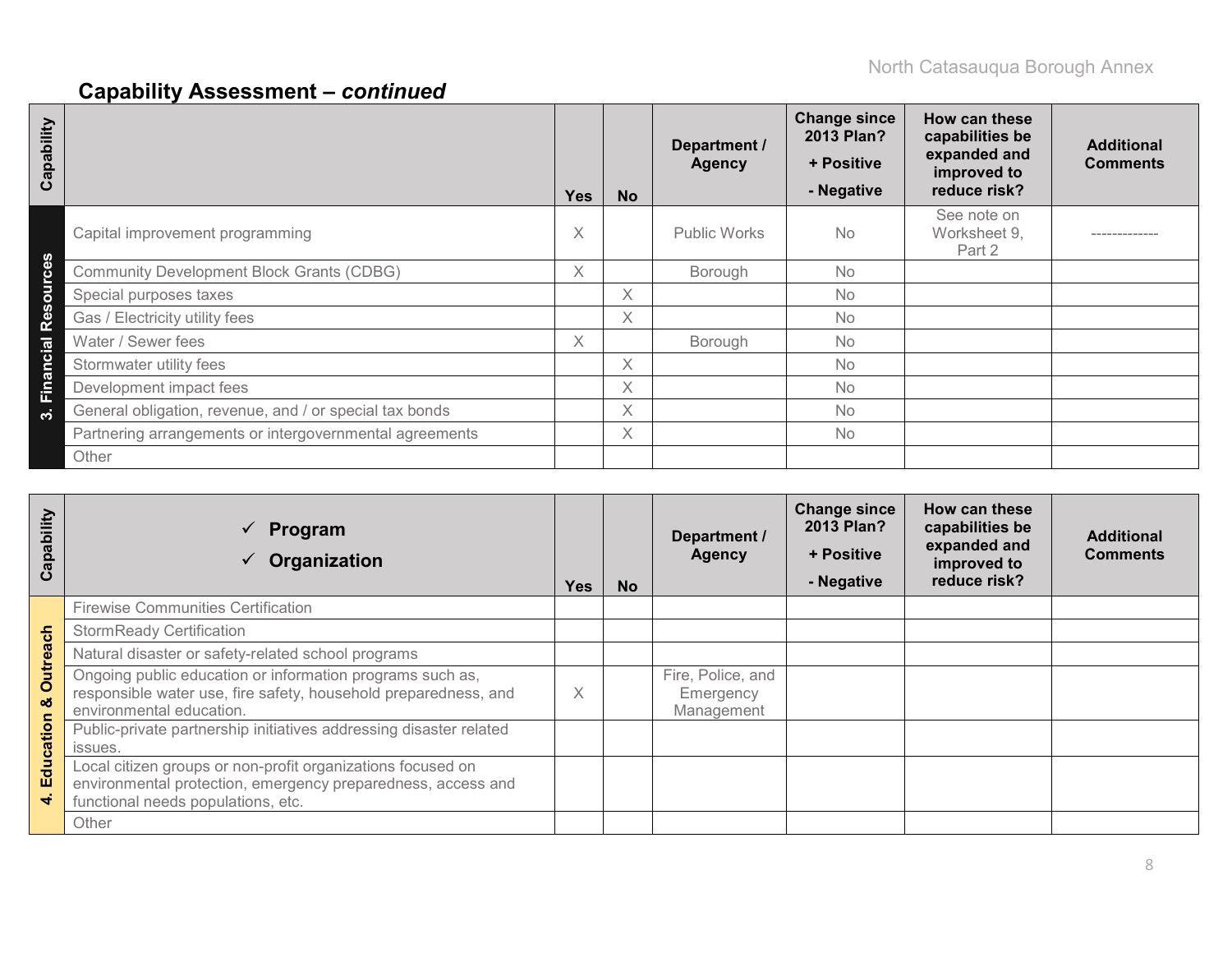| Capability |                                                         | <b>Yes</b> | <b>No</b> | Department /<br><b>Agency</b> | <b>Change since</b><br>2013 Plan?<br>+ Positive<br>- Negative | How can these<br>capabilities be<br>expanded and<br>improved to<br>reduce risk? | <b>Additional</b><br><b>Comments</b> |
|------------|---------------------------------------------------------|------------|-----------|-------------------------------|---------------------------------------------------------------|---------------------------------------------------------------------------------|--------------------------------------|
|            | Capital improvement programming                         | X          |           | <b>Public Works</b>           | <b>No</b>                                                     | See note on<br>Worksheet 9,<br>Part 2                                           |                                      |
| <b>Ce</b>  | <b>Community Development Block Grants (CDBG)</b>        | X          |           | Borough                       | <b>No</b>                                                     |                                                                                 |                                      |
| Resou      | Special purposes taxes                                  |            | Χ         |                               | <b>No</b>                                                     |                                                                                 |                                      |
|            | Gas / Electricity utility fees                          |            | X         |                               | No                                                            |                                                                                 |                                      |
|            | Water / Sewer fees                                      | X.         |           | Borough                       | <b>No</b>                                                     |                                                                                 |                                      |
| Financial  | Stormwater utility fees                                 |            | X         |                               | <b>No</b>                                                     |                                                                                 |                                      |
|            | Development impact fees                                 |            | X         |                               | <b>No</b>                                                     |                                                                                 |                                      |
| ო          | General obligation, revenue, and / or special tax bonds |            | X         |                               | <b>No</b>                                                     |                                                                                 |                                      |
|            | Partnering arrangements or intergovernmental agreements |            | X         |                               | <b>No</b>                                                     |                                                                                 |                                      |
|            | Other                                                   |            |           |                               |                                                               |                                                                                 |                                      |

| Capability                       | $\checkmark$ Program<br>Organization                                                                                                                              | <b>Yes</b> | <b>No</b> | Department /<br><b>Agency</b>                | <b>Change since</b><br>2013 Plan?<br>+ Positive<br>- Negative | How can these<br>capabilities be<br>expanded and<br>improved to<br>reduce risk? | <b>Additional</b><br><b>Comments</b> |
|----------------------------------|-------------------------------------------------------------------------------------------------------------------------------------------------------------------|------------|-----------|----------------------------------------------|---------------------------------------------------------------|---------------------------------------------------------------------------------|--------------------------------------|
|                                  | <b>Firewise Communities Certification</b>                                                                                                                         |            |           |                                              |                                                               |                                                                                 |                                      |
| ach                              | <b>StormReady Certification</b>                                                                                                                                   |            |           |                                              |                                                               |                                                                                 |                                      |
|                                  | Natural disaster or safety-related school programs                                                                                                                |            |           |                                              |                                                               |                                                                                 |                                      |
| <b>Outrea</b><br>οö<br>Education | Ongoing public education or information programs such as,<br>responsible water use, fire safety, household preparedness, and<br>environmental education.          | X          |           | Fire, Police, and<br>Emergency<br>Management |                                                               |                                                                                 |                                      |
|                                  | Public-private partnership initiatives addressing disaster related<br>issues.                                                                                     |            |           |                                              |                                                               |                                                                                 |                                      |
| ਚੰ                               | Local citizen groups or non-profit organizations focused on<br>environmental protection, emergency preparedness, access and<br>functional needs populations, etc. |            |           |                                              |                                                               |                                                                                 |                                      |
|                                  | Other                                                                                                                                                             |            |           |                                              |                                                               |                                                                                 |                                      |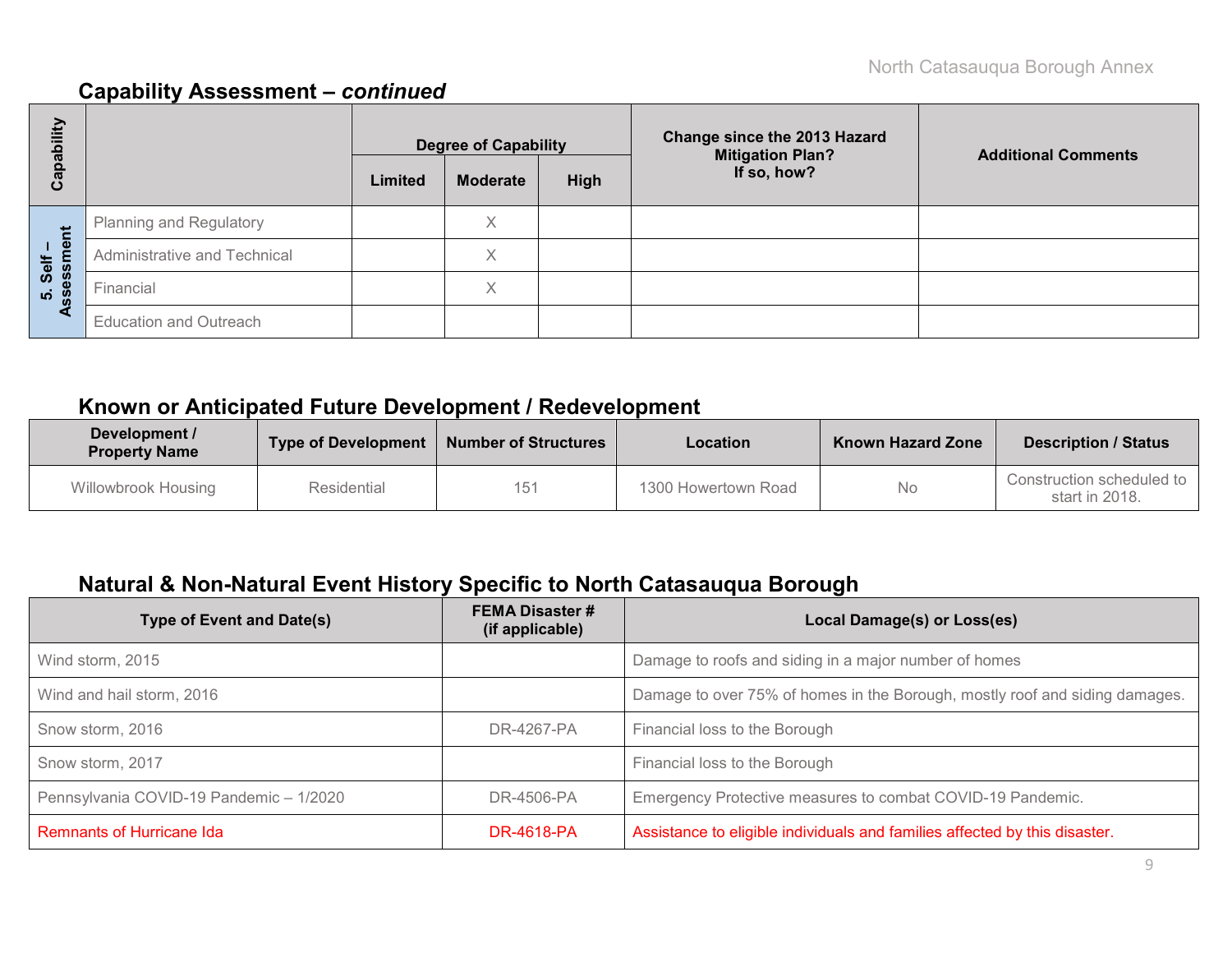| ubility           | <b>Change since the 2013 Hazard</b><br><b>Degree of Capability</b><br><b>Mitigation Plan?</b> |         | <b>Additional Comments</b> |      |             |  |  |
|-------------------|-----------------------------------------------------------------------------------------------|---------|----------------------------|------|-------------|--|--|
| <u>පි</u><br>ပိ   |                                                                                               | Limited | <b>Moderate</b>            | High | If so, how? |  |  |
|                   | Planning and Regulatory                                                                       |         | Χ                          |      |             |  |  |
| Self –<br>essment | Administrative and Technical                                                                  |         | X                          |      |             |  |  |
| <u>ທີ່ 8</u>      | Financial                                                                                     |         | X                          |      |             |  |  |
| ⋖                 | <b>Education and Outreach</b>                                                                 |         |                            |      |             |  |  |

## **Known or Anticipated Future Development / Redevelopment**

| Development /<br><b>Property Name</b> | <b>Type of Development</b> | <b>Number of Structures</b> | Location            | <b>Known Hazard Zone</b> | <b>Description / Status</b>                 |
|---------------------------------------|----------------------------|-----------------------------|---------------------|--------------------------|---------------------------------------------|
| Willowbrook Housing                   | Residential                | 151                         | 1300 Howertown Road | No                       | Construction scheduled to<br>start in 2018. |

# **Natural & Non-Natural Event History Specific to North Catasauqua Borough**

| <b>Type of Event and Date(s)</b>        | <b>FEMA Disaster #</b><br>(if applicable) | Local Damage(s) or Loss(es)                                                 |
|-----------------------------------------|-------------------------------------------|-----------------------------------------------------------------------------|
| Wind storm, 2015                        |                                           | Damage to roofs and siding in a major number of homes                       |
| Wind and hail storm, 2016               |                                           | Damage to over 75% of homes in the Borough, mostly roof and siding damages. |
| Snow storm, 2016                        | DR-4267-PA                                | Financial loss to the Borough                                               |
| Snow storm, 2017                        |                                           | Financial loss to the Borough                                               |
| Pennsylvania COVID-19 Pandemic - 1/2020 | DR-4506-PA                                | Emergency Protective measures to combat COVID-19 Pandemic.                  |
| <b>Remnants of Hurricane Ida</b>        | DR-4618-PA                                | Assistance to eligible individuals and families affected by this disaster.  |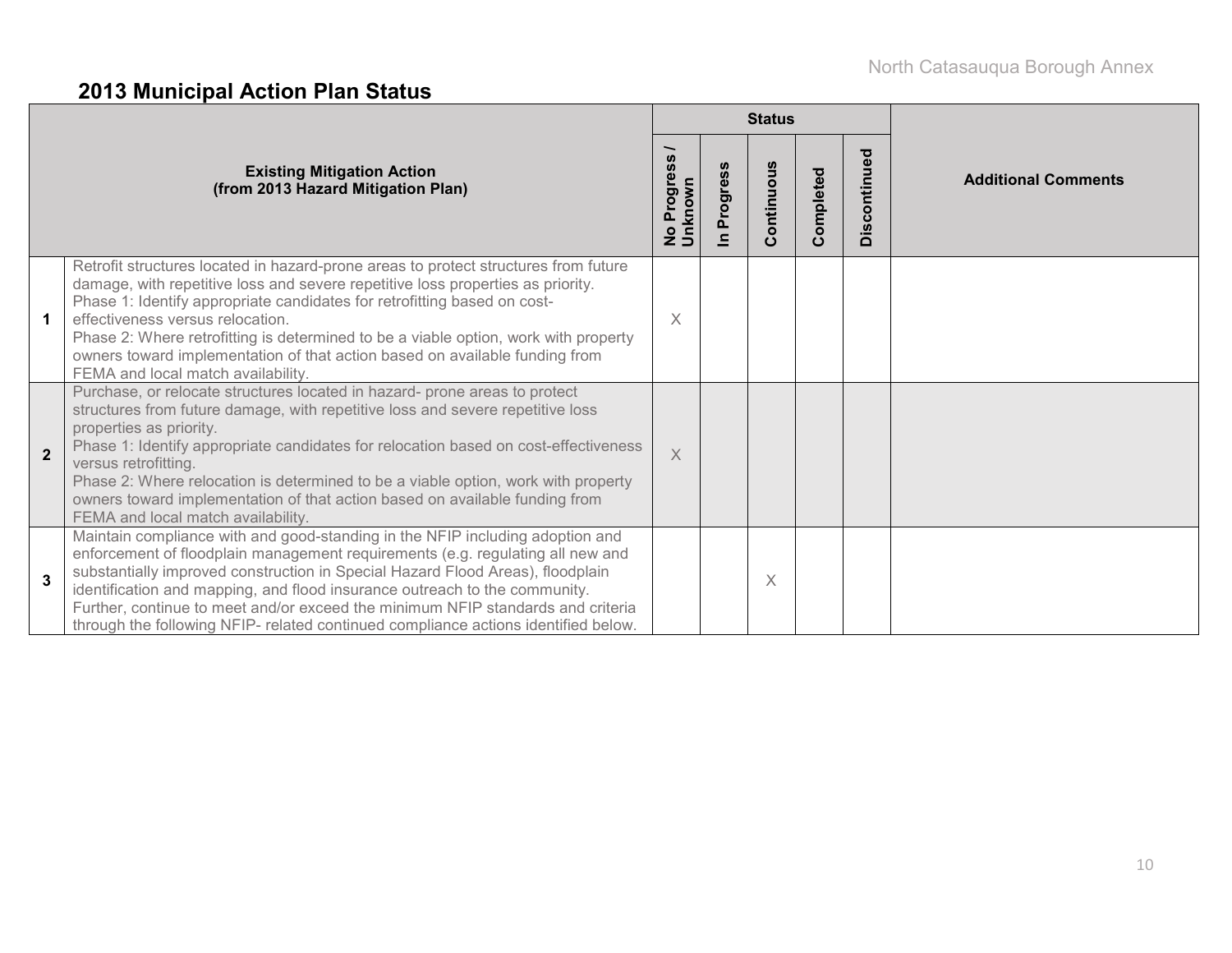# **2013 Municipal Action Plan Status**

|                |                                                                                                                                                                                                                                                                                                                                                                                                                                                                                                                  |                                                          |                                     | <b>Status</b> |           |              |                            |
|----------------|------------------------------------------------------------------------------------------------------------------------------------------------------------------------------------------------------------------------------------------------------------------------------------------------------------------------------------------------------------------------------------------------------------------------------------------------------------------------------------------------------------------|----------------------------------------------------------|-------------------------------------|---------------|-----------|--------------|----------------------------|
|                | <b>Existing Mitigation Action</b><br>(from 2013 Hazard Mitigation Plan)                                                                                                                                                                                                                                                                                                                                                                                                                                          | <b>SC</b><br>Progres<br>No Progi <del>o</del><br>Unknown | Progress<br>$\overline{\mathbf{z}}$ | Continuous    | Completed | Discontinued | <b>Additional Comments</b> |
|                | Retrofit structures located in hazard-prone areas to protect structures from future<br>damage, with repetitive loss and severe repetitive loss properties as priority.<br>Phase 1: Identify appropriate candidates for retrofitting based on cost-<br>effectiveness versus relocation.<br>Phase 2: Where retrofitting is determined to be a viable option, work with property<br>owners toward implementation of that action based on available funding from<br>FEMA and local match availability.               | X                                                        |                                     |               |           |              |                            |
| $\overline{2}$ | Purchase, or relocate structures located in hazard- prone areas to protect<br>structures from future damage, with repetitive loss and severe repetitive loss<br>properties as priority.<br>Phase 1: Identify appropriate candidates for relocation based on cost-effectiveness<br>versus retrofitting.<br>Phase 2: Where relocation is determined to be a viable option, work with property<br>owners toward implementation of that action based on available funding from<br>FEMA and local match availability. | $\times$                                                 |                                     |               |           |              |                            |
| 3              | Maintain compliance with and good-standing in the NFIP including adoption and<br>enforcement of floodplain management requirements (e.g. regulating all new and<br>substantially improved construction in Special Hazard Flood Areas), floodplain<br>identification and mapping, and flood insurance outreach to the community.<br>Further, continue to meet and/or exceed the minimum NFIP standards and criteria<br>through the following NFIP- related continued compliance actions identified below.         |                                                          |                                     | $\times$      |           |              |                            |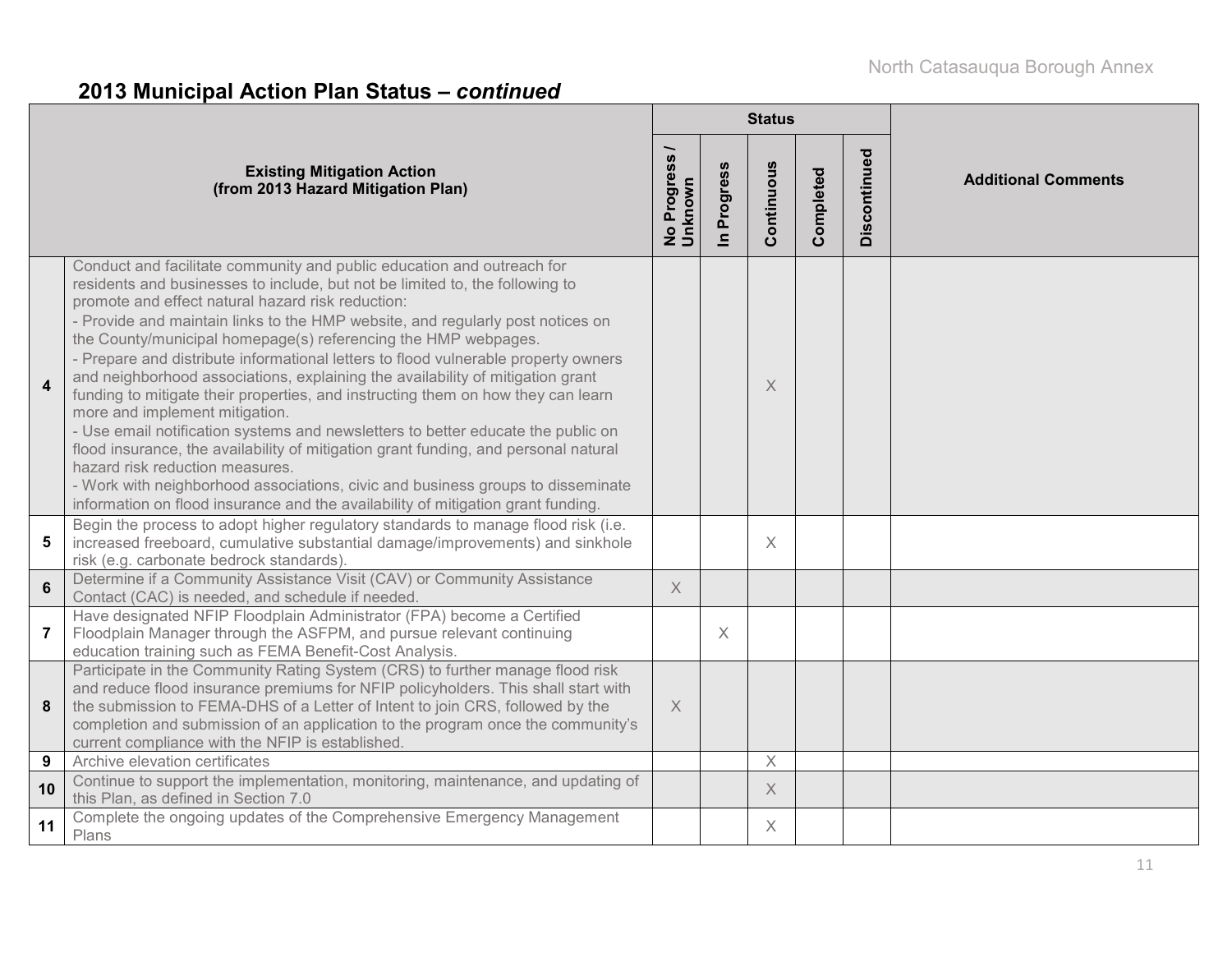# **2013 Municipal Action Plan Status –** *continued*

|                |                                                                                                                                                                                                                                                                                                                                                                                                                                                                                                                                                                                                                                                                                                                                                                                                                                                                                                                                                                                                                                                    |                                              |                      | <b>Status</b> |           |              |                            |
|----------------|----------------------------------------------------------------------------------------------------------------------------------------------------------------------------------------------------------------------------------------------------------------------------------------------------------------------------------------------------------------------------------------------------------------------------------------------------------------------------------------------------------------------------------------------------------------------------------------------------------------------------------------------------------------------------------------------------------------------------------------------------------------------------------------------------------------------------------------------------------------------------------------------------------------------------------------------------------------------------------------------------------------------------------------------------|----------------------------------------------|----------------------|---------------|-----------|--------------|----------------------------|
|                | <b>Existing Mitigation Action</b><br>(from 2013 Hazard Mitigation Plan)                                                                                                                                                                                                                                                                                                                                                                                                                                                                                                                                                                                                                                                                                                                                                                                                                                                                                                                                                                            | Progress<br><b>Unknown</b><br>$\overline{2}$ | Progress<br>$\equiv$ | Continuous    | Completed | Discontinued | <b>Additional Comments</b> |
| 4              | Conduct and facilitate community and public education and outreach for<br>residents and businesses to include, but not be limited to, the following to<br>promote and effect natural hazard risk reduction:<br>- Provide and maintain links to the HMP website, and regularly post notices on<br>the County/municipal homepage(s) referencing the HMP webpages.<br>- Prepare and distribute informational letters to flood vulnerable property owners<br>and neighborhood associations, explaining the availability of mitigation grant<br>funding to mitigate their properties, and instructing them on how they can learn<br>more and implement mitigation.<br>- Use email notification systems and newsletters to better educate the public on<br>flood insurance, the availability of mitigation grant funding, and personal natural<br>hazard risk reduction measures.<br>- Work with neighborhood associations, civic and business groups to disseminate<br>information on flood insurance and the availability of mitigation grant funding. |                                              |                      | X             |           |              |                            |
| 5              | Begin the process to adopt higher regulatory standards to manage flood risk (i.e.<br>increased freeboard, cumulative substantial damage/improvements) and sinkhole<br>risk (e.g. carbonate bedrock standards)                                                                                                                                                                                                                                                                                                                                                                                                                                                                                                                                                                                                                                                                                                                                                                                                                                      |                                              |                      | $\times$      |           |              |                            |
| $6\phantom{1}$ | Determine if a Community Assistance Visit (CAV) or Community Assistance<br>Contact (CAC) is needed, and schedule if needed.                                                                                                                                                                                                                                                                                                                                                                                                                                                                                                                                                                                                                                                                                                                                                                                                                                                                                                                        | $\times$                                     |                      |               |           |              |                            |
| $\overline{7}$ | Have designated NFIP Floodplain Administrator (FPA) become a Certified<br>Floodplain Manager through the ASFPM, and pursue relevant continuing<br>education training such as FEMA Benefit-Cost Analysis.                                                                                                                                                                                                                                                                                                                                                                                                                                                                                                                                                                                                                                                                                                                                                                                                                                           |                                              | X                    |               |           |              |                            |
| 8              | Participate in the Community Rating System (CRS) to further manage flood risk<br>and reduce flood insurance premiums for NFIP policyholders. This shall start with<br>the submission to FEMA-DHS of a Letter of Intent to join CRS, followed by the<br>completion and submission of an application to the program once the community's<br>current compliance with the NFIP is established.                                                                                                                                                                                                                                                                                                                                                                                                                                                                                                                                                                                                                                                         | $\times$                                     |                      |               |           |              |                            |
| 9              | Archive elevation certificates                                                                                                                                                                                                                                                                                                                                                                                                                                                                                                                                                                                                                                                                                                                                                                                                                                                                                                                                                                                                                     |                                              |                      | $\times$      |           |              |                            |
| 10             | Continue to support the implementation, monitoring, maintenance, and updating of<br>this Plan, as defined in Section 7.0                                                                                                                                                                                                                                                                                                                                                                                                                                                                                                                                                                                                                                                                                                                                                                                                                                                                                                                           |                                              |                      | $\times$      |           |              |                            |
| 11             | Complete the ongoing updates of the Comprehensive Emergency Management<br>Plans                                                                                                                                                                                                                                                                                                                                                                                                                                                                                                                                                                                                                                                                                                                                                                                                                                                                                                                                                                    |                                              |                      | $\times$      |           |              |                            |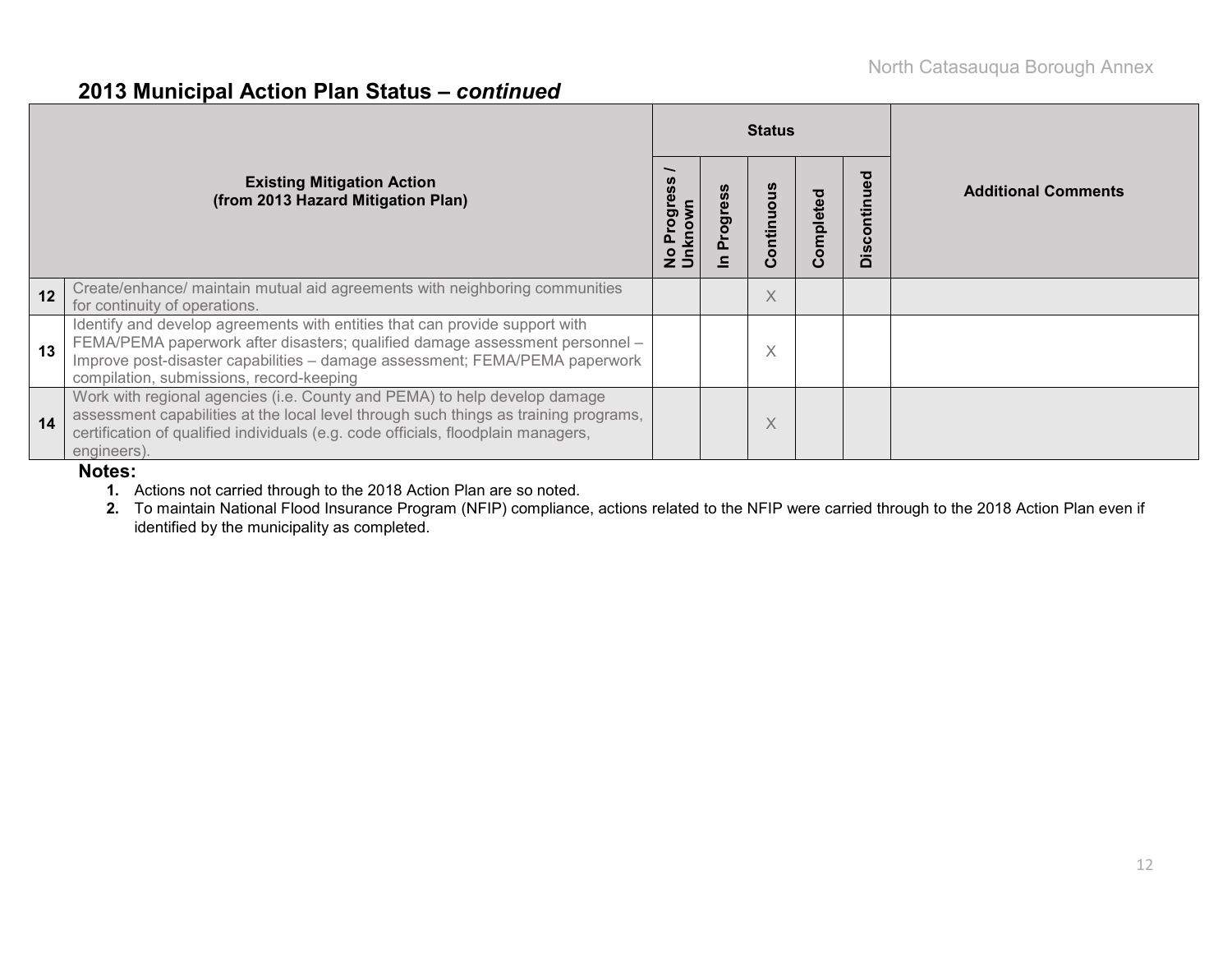### **2013 Municipal Action Plan Status –** *continued*

|                                                                         |                                                                                                                                                                                                                                                                                        |  |  | <b>Status</b> |           |                |                            |  |  |
|-------------------------------------------------------------------------|----------------------------------------------------------------------------------------------------------------------------------------------------------------------------------------------------------------------------------------------------------------------------------------|--|--|---------------|-----------|----------------|----------------------------|--|--|
| <b>Existing Mitigation Action</b><br>(from 2013 Hazard Mitigation Plan) |                                                                                                                                                                                                                                                                                        |  |  | Continuo      | Completed | ਠ<br>Discontin | <b>Additional Comments</b> |  |  |
| 12                                                                      | Create/enhance/ maintain mutual aid agreements with neighboring communities<br>for continuity of operations.                                                                                                                                                                           |  |  | X             |           |                |                            |  |  |
| 13                                                                      | Identify and develop agreements with entities that can provide support with<br>FEMA/PEMA paperwork after disasters; qualified damage assessment personnel -<br>Improve post-disaster capabilities - damage assessment; FEMA/PEMA paperwork<br>compilation, submissions, record-keeping |  |  | X             |           |                |                            |  |  |
| 14                                                                      | Work with regional agencies (i.e. County and PEMA) to help develop damage<br>assessment capabilities at the local level through such things as training programs,<br>certification of qualified individuals (e.g. code officials, floodplain managers,<br>engineers).                  |  |  | X             |           |                |                            |  |  |

#### **Notes:**

**1.** Actions not carried through to the 2018 Action Plan are so noted.

**2.** To maintain National Flood Insurance Program (NFIP) compliance, actions related to the NFIP were carried through to the 2018 Action Plan even if identified by the municipality as completed.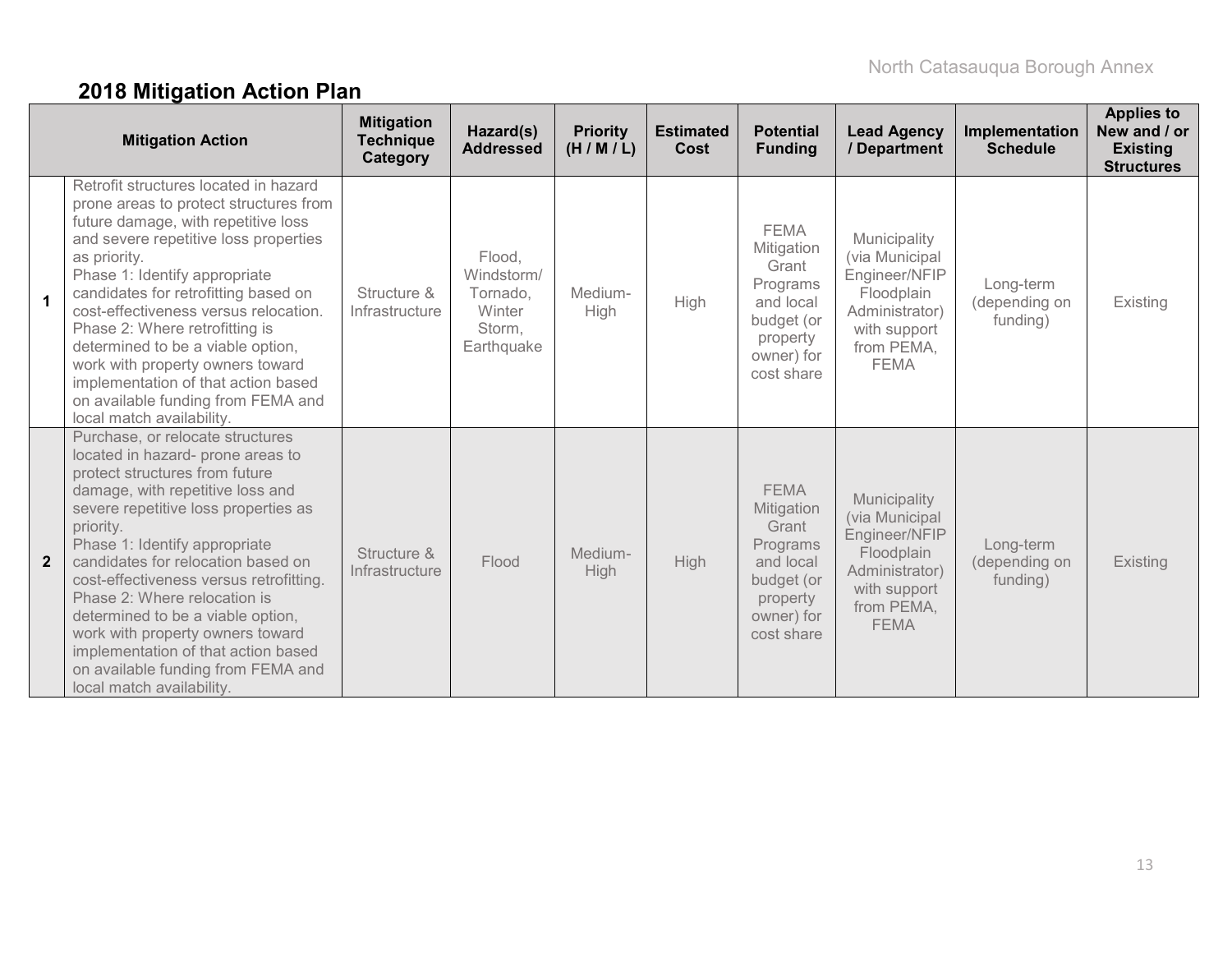# **2018 Mitigation Action Plan**

|                         | <b>Mitigation Action</b>                                                                                                                                                                                                                                                                                                                                                                                                                                                                                                              | <b>Mitigation</b><br><b>Technique</b><br>Category | Hazard(s)<br><b>Addressed</b>                                      | <b>Priority</b><br>(H/M/L) | <b>Estimated</b><br>Cost | <b>Potential</b><br><b>Funding</b>                                                                                | <b>Lead Agency</b><br>/ Department                                                                                           | Implementation<br><b>Schedule</b>      | <b>Applies to</b><br>New and / or<br><b>Existing</b><br><b>Structures</b> |
|-------------------------|---------------------------------------------------------------------------------------------------------------------------------------------------------------------------------------------------------------------------------------------------------------------------------------------------------------------------------------------------------------------------------------------------------------------------------------------------------------------------------------------------------------------------------------|---------------------------------------------------|--------------------------------------------------------------------|----------------------------|--------------------------|-------------------------------------------------------------------------------------------------------------------|------------------------------------------------------------------------------------------------------------------------------|----------------------------------------|---------------------------------------------------------------------------|
| $\overline{\mathbf{1}}$ | Retrofit structures located in hazard<br>prone areas to protect structures from<br>future damage, with repetitive loss<br>and severe repetitive loss properties<br>as priority.<br>Phase 1: Identify appropriate<br>candidates for retrofitting based on<br>cost-effectiveness versus relocation.<br>Phase 2: Where retrofitting is<br>determined to be a viable option,<br>work with property owners toward<br>implementation of that action based<br>on available funding from FEMA and<br>local match availability.                | Structure &<br>Infrastructure                     | Flood,<br>Windstorm/<br>Tornado,<br>Winter<br>Storm,<br>Earthquake | Medium-<br>High            | High                     | <b>FEMA</b><br>Mitigation<br>Grant<br>Programs<br>and local<br>budget (or<br>property<br>owner) for<br>cost share | Municipality<br>(via Municipal<br>Engineer/NFIP<br>Floodplain<br>Administrator)<br>with support<br>from PEMA,<br><b>FEMA</b> | Long-term<br>(depending on<br>funding) | Existing                                                                  |
| $\overline{2}$          | Purchase, or relocate structures<br>located in hazard- prone areas to<br>protect structures from future<br>damage, with repetitive loss and<br>severe repetitive loss properties as<br>priority.<br>Phase 1: Identify appropriate<br>candidates for relocation based on<br>cost-effectiveness versus retrofitting.<br>Phase 2: Where relocation is<br>determined to be a viable option,<br>work with property owners toward<br>implementation of that action based<br>on available funding from FEMA and<br>local match availability. | Structure &<br>Infrastructure                     | Flood                                                              | Medium-<br>High            | High                     | <b>FEMA</b><br>Mitigation<br>Grant<br>Programs<br>and local<br>budget (or<br>property<br>owner) for<br>cost share | Municipality<br>(via Municipal<br>Engineer/NFIP<br>Floodplain<br>Administrator)<br>with support<br>from PEMA,<br><b>FEMA</b> | Long-term<br>(depending on<br>funding) | Existing                                                                  |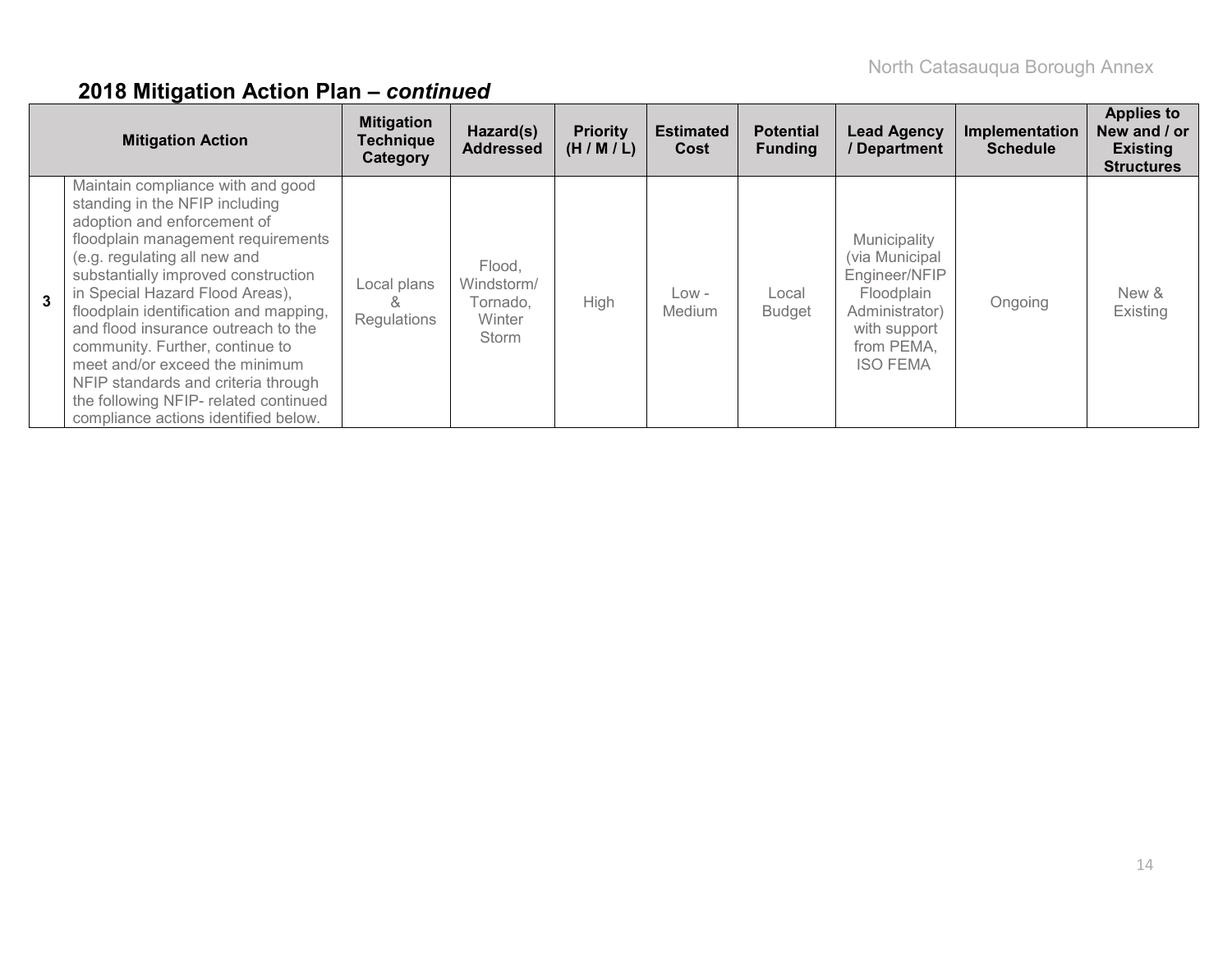|              | <b>Mitigation Action</b>                                                                                                                                                                                                                                                                                                                                                                                                                                                                                                         | <b>Mitigation</b><br><b>Technique</b><br>Category | Hazard(s)<br><b>Addressed</b>                       | <b>Priority</b><br>(H/M/L) | <b>Estimated</b><br>Cost | <b>Potential</b><br><b>Funding</b> | <b>Lead Agency</b><br>/Department                                                                                                | Implementation<br><b>Schedule</b> | <b>Applies to</b><br>New and / or<br><b>Existing</b><br><b>Structures</b> |
|--------------|----------------------------------------------------------------------------------------------------------------------------------------------------------------------------------------------------------------------------------------------------------------------------------------------------------------------------------------------------------------------------------------------------------------------------------------------------------------------------------------------------------------------------------|---------------------------------------------------|-----------------------------------------------------|----------------------------|--------------------------|------------------------------------|----------------------------------------------------------------------------------------------------------------------------------|-----------------------------------|---------------------------------------------------------------------------|
| $\mathbf{3}$ | Maintain compliance with and good<br>standing in the NFIP including<br>adoption and enforcement of<br>floodplain management requirements<br>(e.g. regulating all new and<br>substantially improved construction<br>in Special Hazard Flood Areas),<br>floodplain identification and mapping,<br>and flood insurance outreach to the<br>community. Further, continue to<br>meet and/or exceed the minimum<br>NFIP standards and criteria through<br>the following NFIP- related continued<br>compliance actions identified below. | Local plans<br>Ğ<br>Regulations                   | Flood.<br>Windstorm/<br>Tornado,<br>Winter<br>Storm | High                       | Low -<br>Medium          | Local<br><b>Budget</b>             | Municipality<br>(via Municipal<br>Engineer/NFIP<br>Floodplain<br>Administrator)<br>with support<br>from PEMA,<br><b>ISO FEMA</b> | Ongoing                           | New &<br>Existing                                                         |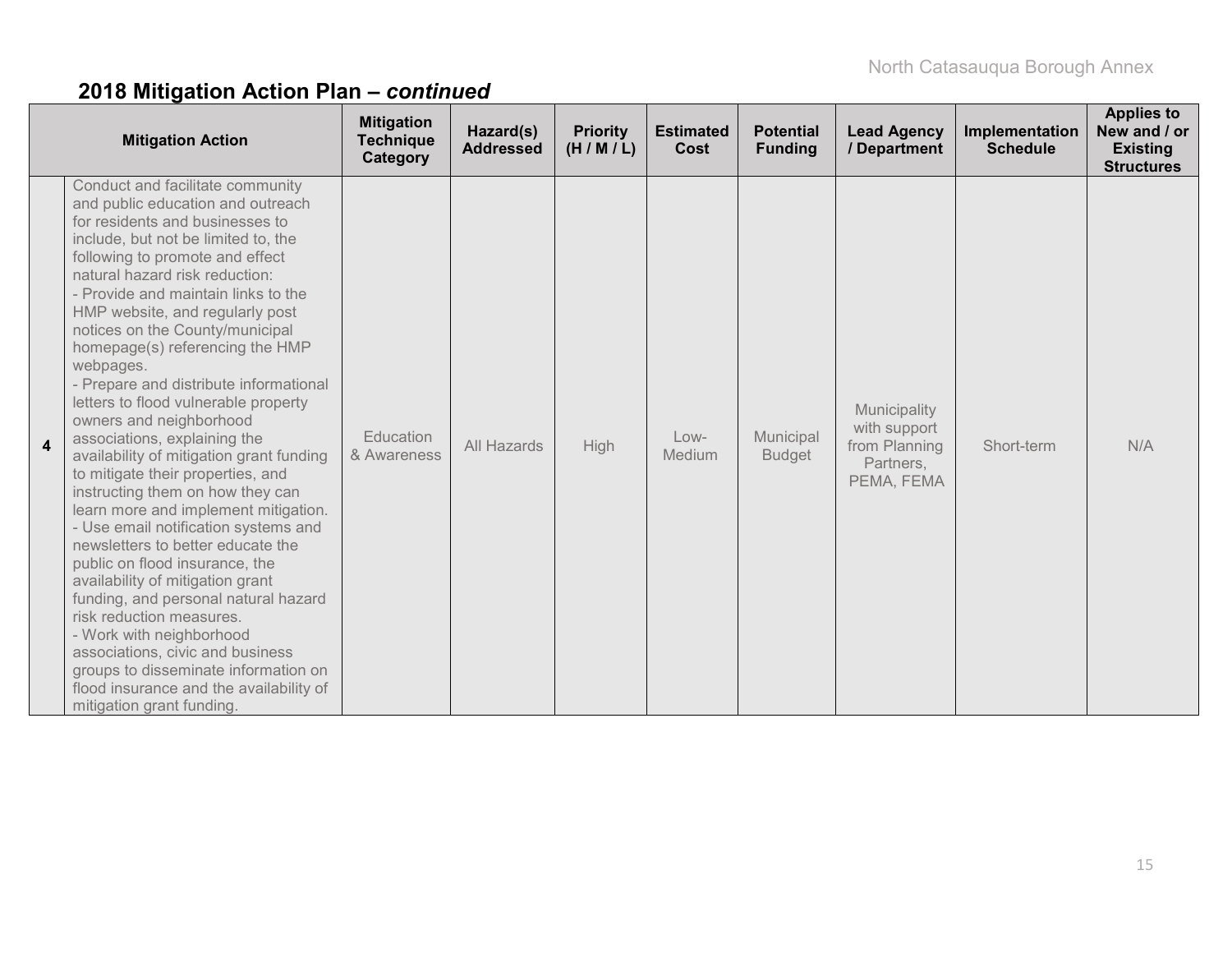|                         | <b>Mitigation Action</b>                                                                                                                                                                                                                                                                                                                                                                                                                                                                                                                                                                                                                                                                                                                                                                                                                                                                                                                                                                                                                                                                           | <b>Mitigation</b><br><b>Technique</b><br>Category | Hazard(s)<br><b>Addressed</b> | <b>Priority</b><br>(H/M/L) | <b>Estimated</b><br>Cost | <b>Potential</b><br><b>Funding</b> | <b>Lead Agency</b><br>/ Department                                       | Implementation<br><b>Schedule</b> | <b>Applies to</b><br>New and / or<br><b>Existing</b><br><b>Structures</b> |
|-------------------------|----------------------------------------------------------------------------------------------------------------------------------------------------------------------------------------------------------------------------------------------------------------------------------------------------------------------------------------------------------------------------------------------------------------------------------------------------------------------------------------------------------------------------------------------------------------------------------------------------------------------------------------------------------------------------------------------------------------------------------------------------------------------------------------------------------------------------------------------------------------------------------------------------------------------------------------------------------------------------------------------------------------------------------------------------------------------------------------------------|---------------------------------------------------|-------------------------------|----------------------------|--------------------------|------------------------------------|--------------------------------------------------------------------------|-----------------------------------|---------------------------------------------------------------------------|
| $\overline{\mathbf{4}}$ | Conduct and facilitate community<br>and public education and outreach<br>for residents and businesses to<br>include, but not be limited to, the<br>following to promote and effect<br>natural hazard risk reduction:<br>- Provide and maintain links to the<br>HMP website, and regularly post<br>notices on the County/municipal<br>homepage(s) referencing the HMP<br>webpages.<br>- Prepare and distribute informational<br>letters to flood vulnerable property<br>owners and neighborhood<br>associations, explaining the<br>availability of mitigation grant funding<br>to mitigate their properties, and<br>instructing them on how they can<br>learn more and implement mitigation.<br>- Use email notification systems and<br>newsletters to better educate the<br>public on flood insurance, the<br>availability of mitigation grant<br>funding, and personal natural hazard<br>risk reduction measures.<br>- Work with neighborhood<br>associations, civic and business<br>groups to disseminate information on<br>flood insurance and the availability of<br>mitigation grant funding. | Education<br>& Awareness                          | All Hazards                   | High                       | $Low-$<br>Medium         | Municipal<br><b>Budget</b>         | Municipality<br>with support<br>from Planning<br>Partners,<br>PEMA, FEMA | Short-term                        | N/A                                                                       |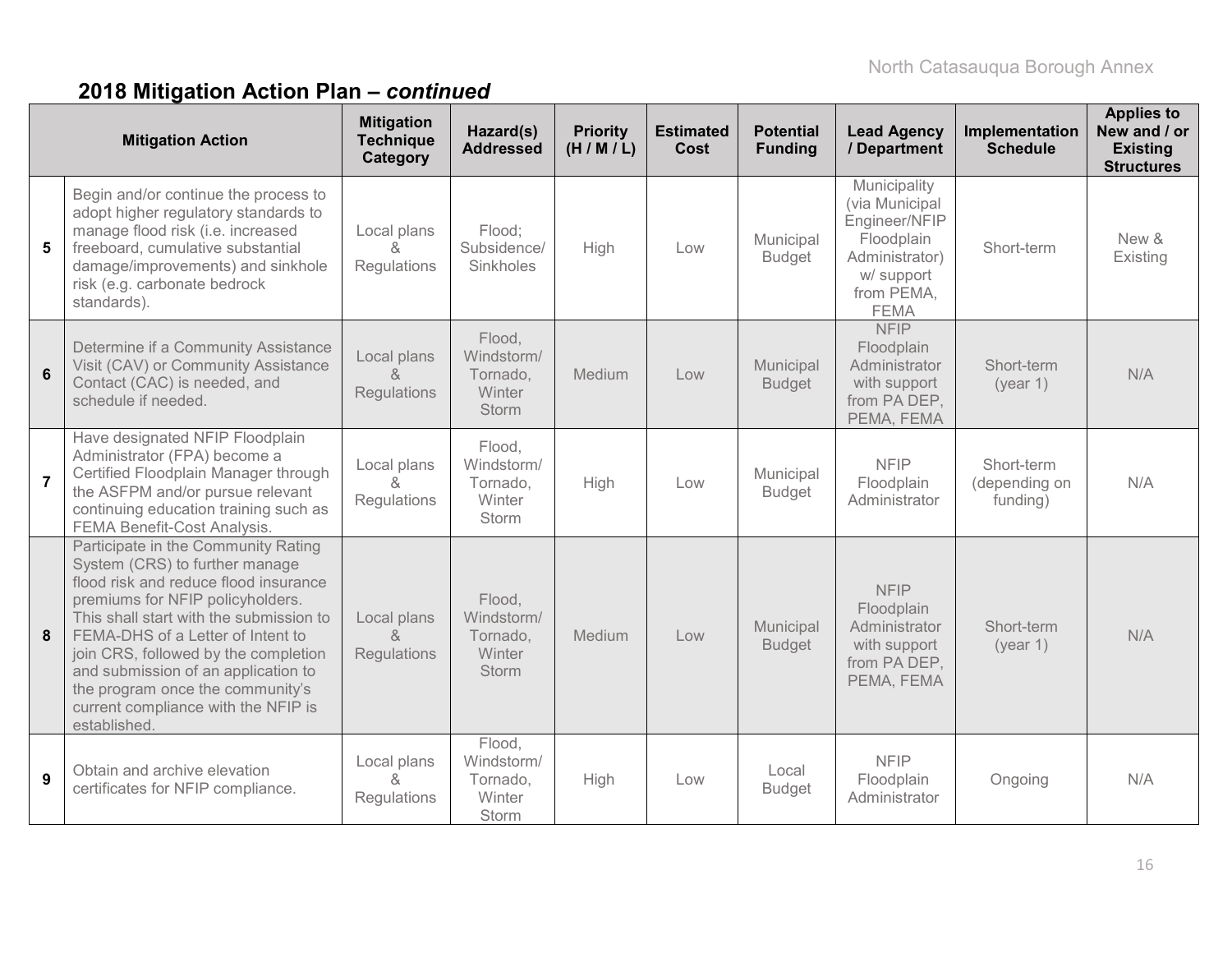|                | <b>Mitigation Action</b>                                                                                                                                                                                                                                                                                                                                                                                     | <b>Mitigation</b><br><b>Technique</b><br>Category | Hazard(s)<br><b>Addressed</b>                              | <b>Priority</b><br>(H/M/L) | <b>Estimated</b><br>Cost | <b>Potential</b><br><b>Funding</b> | <b>Lead Agency</b><br>/ Department                                                                                         | Implementation<br><b>Schedule</b>       | <b>Applies to</b><br>New and / or<br><b>Existing</b><br><b>Structures</b> |
|----------------|--------------------------------------------------------------------------------------------------------------------------------------------------------------------------------------------------------------------------------------------------------------------------------------------------------------------------------------------------------------------------------------------------------------|---------------------------------------------------|------------------------------------------------------------|----------------------------|--------------------------|------------------------------------|----------------------------------------------------------------------------------------------------------------------------|-----------------------------------------|---------------------------------------------------------------------------|
| 5              | Begin and/or continue the process to<br>adopt higher regulatory standards to<br>manage flood risk (i.e. increased<br>freeboard, cumulative substantial<br>damage/improvements) and sinkhole<br>risk (e.g. carbonate bedrock<br>standards).                                                                                                                                                                   | Local plans<br>$\alpha$<br>Regulations            | Flood:<br>Subsidence/<br>Sinkholes                         | High                       | Low                      | Municipal<br><b>Budget</b>         | Municipality<br>(via Municipal<br>Engineer/NFIP<br>Floodplain<br>Administrator)<br>w/ support<br>from PEMA,<br><b>FEMA</b> | Short-term                              | New &<br>Existing                                                         |
| 6              | Determine if a Community Assistance<br>Visit (CAV) or Community Assistance<br>Contact (CAC) is needed, and<br>schedule if needed.                                                                                                                                                                                                                                                                            | Local plans<br>&<br>Regulations                   | Flood,<br>Windstorm/<br>Tornado,<br>Winter<br>Storm        | Medium                     | Low                      | Municipal<br><b>Budget</b>         | <b>NFIP</b><br>Floodplain<br>Administrator<br>with support<br>from PA DEP,<br>PEMA, FEMA                                   | Short-term<br>(year 1)                  | N/A                                                                       |
| $\overline{7}$ | Have designated NFIP Floodplain<br>Administrator (FPA) become a<br>Certified Floodplain Manager through<br>the ASFPM and/or pursue relevant<br>continuing education training such as<br>FEMA Benefit-Cost Analysis.                                                                                                                                                                                          | Local plans<br>8<br>Regulations                   | Flood,<br>Windstorm/<br>Tornado,<br>Winter<br>Storm        | High                       | Low                      | Municipal<br><b>Budget</b>         | <b>NFIP</b><br>Floodplain<br>Administrator                                                                                 | Short-term<br>(depending on<br>funding) | N/A                                                                       |
| 8              | Participate in the Community Rating<br>System (CRS) to further manage<br>flood risk and reduce flood insurance<br>premiums for NFIP policyholders.<br>This shall start with the submission to<br>FEMA-DHS of a Letter of Intent to<br>join CRS, followed by the completion<br>and submission of an application to<br>the program once the community's<br>current compliance with the NFIP is<br>established. | Local plans<br>$\kappa$<br>Regulations            | Flood,<br>Windstorm/<br>Tornado,<br>Winter<br><b>Storm</b> | Medium                     | Low                      | Municipal<br><b>Budget</b>         | <b>NFIP</b><br>Floodplain<br>Administrator<br>with support<br>from PA DEP,<br>PEMA, FEMA                                   | Short-term<br>(year 1)                  | N/A                                                                       |
| 9              | Obtain and archive elevation<br>certificates for NFIP compliance.                                                                                                                                                                                                                                                                                                                                            | Local plans<br>$\delta$<br>Regulations            | Flood,<br>Windstorm/<br>Tornado,<br>Winter<br>Storm        | High                       | Low                      | Local<br><b>Budget</b>             | <b>NFIP</b><br>Floodplain<br>Administrator                                                                                 | Ongoing                                 | N/A                                                                       |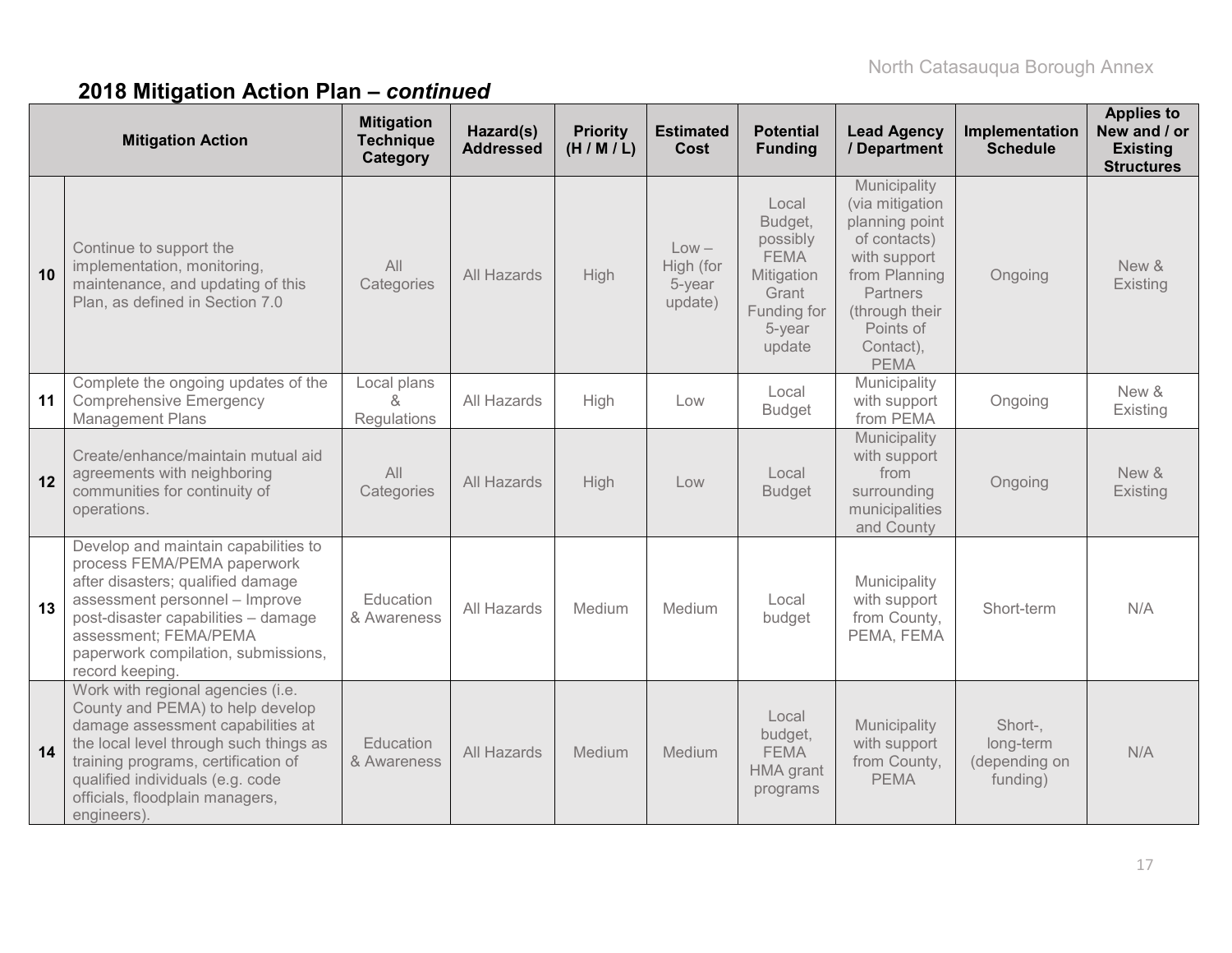|    | <b>Mitigation Action</b>                                                                                                                                                                                                                                                          | <b>Mitigation</b><br><b>Technique</b><br>Category | Hazard(s)<br><b>Addressed</b> | <b>Priority</b><br>(H/M/L) | <b>Estimated</b><br>Cost                  | <b>Potential</b><br><b>Funding</b>                                                                    | <b>Lead Agency</b><br>/ Department                                                                                                                                               | Implementation<br><b>Schedule</b>                 | <b>Applies to</b><br>New and / or<br><b>Existing</b><br><b>Structures</b> |
|----|-----------------------------------------------------------------------------------------------------------------------------------------------------------------------------------------------------------------------------------------------------------------------------------|---------------------------------------------------|-------------------------------|----------------------------|-------------------------------------------|-------------------------------------------------------------------------------------------------------|----------------------------------------------------------------------------------------------------------------------------------------------------------------------------------|---------------------------------------------------|---------------------------------------------------------------------------|
| 10 | Continue to support the<br>implementation, monitoring,<br>maintenance, and updating of this<br>Plan, as defined in Section 7.0                                                                                                                                                    | All<br>Categories                                 | All Hazards                   | High                       | $Low -$<br>High (for<br>5-year<br>update) | Local<br>Budget,<br>possibly<br><b>FEMA</b><br>Mitigation<br>Grant<br>Funding for<br>5-year<br>update | Municipality<br>(via mitigation<br>planning point<br>of contacts)<br>with support<br>from Planning<br><b>Partners</b><br>(through their<br>Points of<br>Contact),<br><b>PEMA</b> | Ongoing                                           | New &<br>Existing                                                         |
| 11 | Complete the ongoing updates of the<br><b>Comprehensive Emergency</b><br><b>Management Plans</b>                                                                                                                                                                                  | Local plans<br>$\lambda$<br>Regulations           | All Hazards                   | High                       | Low                                       | Local<br><b>Budget</b>                                                                                | Municipality<br>with support<br>from PEMA                                                                                                                                        | Ongoing                                           | New &<br>Existing                                                         |
| 12 | Create/enhance/maintain mutual aid<br>agreements with neighboring<br>communities for continuity of<br>operations.                                                                                                                                                                 | All<br>Categories                                 | All Hazards                   | High                       | Low                                       | Local<br><b>Budget</b>                                                                                | Municipality<br>with support<br>from<br>surrounding<br>municipalities<br>and County                                                                                              | Ongoing                                           | New &<br>Existing                                                         |
| 13 | Develop and maintain capabilities to<br>process FEMA/PEMA paperwork<br>after disasters; qualified damage<br>assessment personnel - Improve<br>post-disaster capabilities - damage<br>assessment; FEMA/PEMA<br>paperwork compilation, submissions,<br>record keeping               | Education<br>& Awareness                          | All Hazards                   | Medium                     | Medium                                    | Local<br>budget                                                                                       | Municipality<br>with support<br>from County,<br>PEMA, FEMA                                                                                                                       | Short-term                                        | N/A                                                                       |
| 14 | Work with regional agencies (i.e.<br>County and PEMA) to help develop<br>damage assessment capabilities at<br>the local level through such things as<br>training programs, certification of<br>qualified individuals (e.g. code<br>officials, floodplain managers,<br>engineers). | Education<br>& Awareness                          | All Hazards                   | Medium                     | Medium                                    | Local<br>budget,<br><b>FEMA</b><br>HMA grant<br>programs                                              | Municipality<br>with support<br>from County,<br><b>PEMA</b>                                                                                                                      | Short-,<br>long-term<br>(depending on<br>funding) | N/A                                                                       |